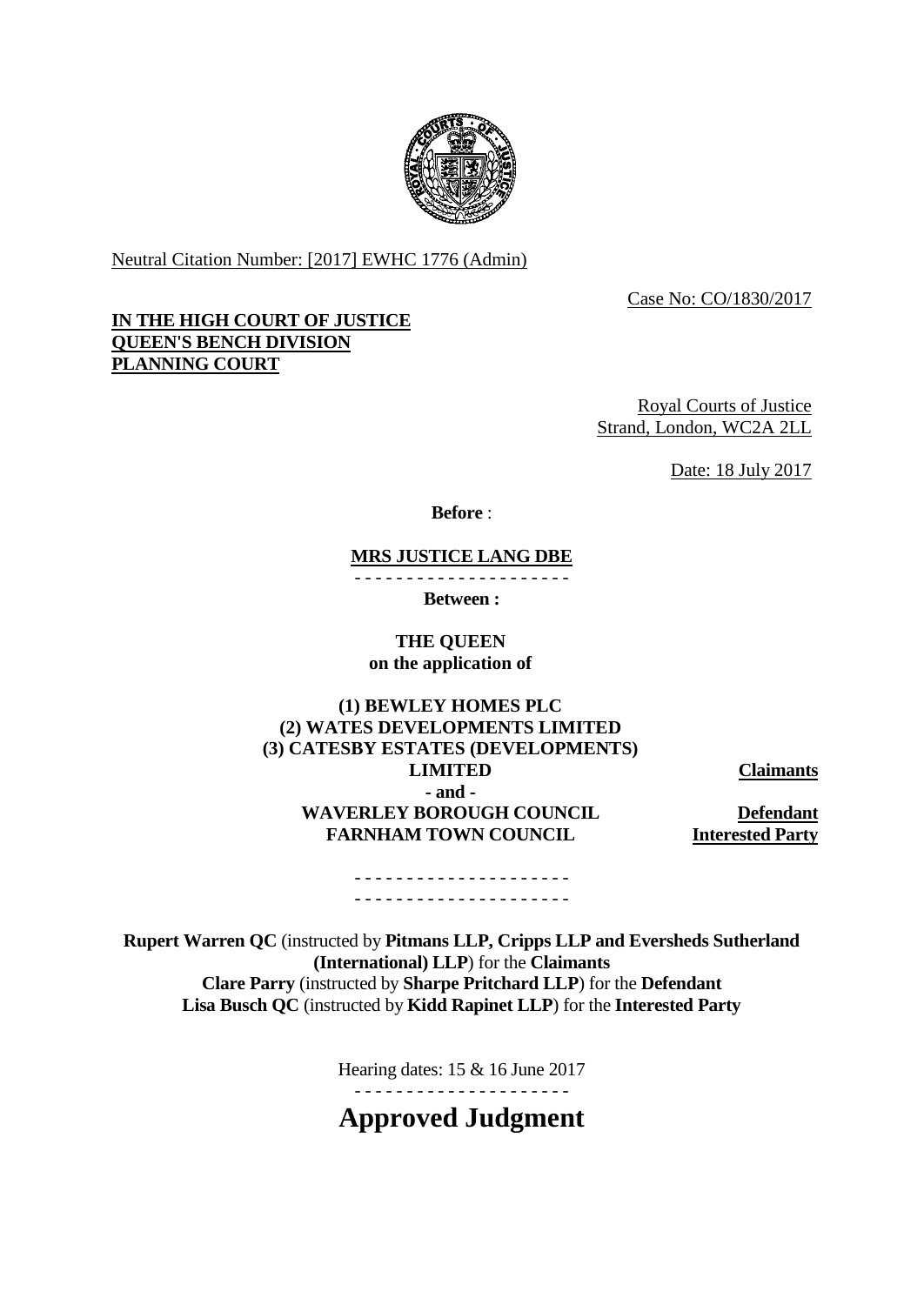

Neutral Citation Number: [2017] EWHC 1776 (Admin)

Case No: CO/1830/2017

## **IN THE HIGH COURT OF JUSTICE QUEEN'S BENCH DIVISION PLANNING COURT**

Royal Courts of Justice Strand, London, WC2A 2LL

Date: 18 July 2017

**Before** :

## **MRS JUSTICE LANG DBE**

**Between :**

## **THE QUEEN on the application of**

**(1) BEWLEY HOMES PLC (2) WATES DEVELOPMENTS LIMITED (3) CATESBY ESTATES (DEVELOPMENTS) LIMITED Claimants - and - WAVERLEY BOROUGH COUNCIL Defendant FARNHAM TOWN COUNCIL Interested Party**

#### - - - - - - - - - - - - - - - - - - - - - - - - - - - - - - - - - - - - - - - - - -

**Rupert Warren QC** (instructed by **Pitmans LLP, Cripps LLP and Eversheds Sutherland (International) LLP**) for the **Claimants Clare Parry** (instructed by **Sharpe Pritchard LLP**) for the **Defendant Lisa Busch QC** (instructed by **Kidd Rapinet LLP**) for the **Interested Party**

Hearing dates: 15 & 16 June 2017

- - - - - - - - - - - - - - - - - - - - -

# **Approved Judgment**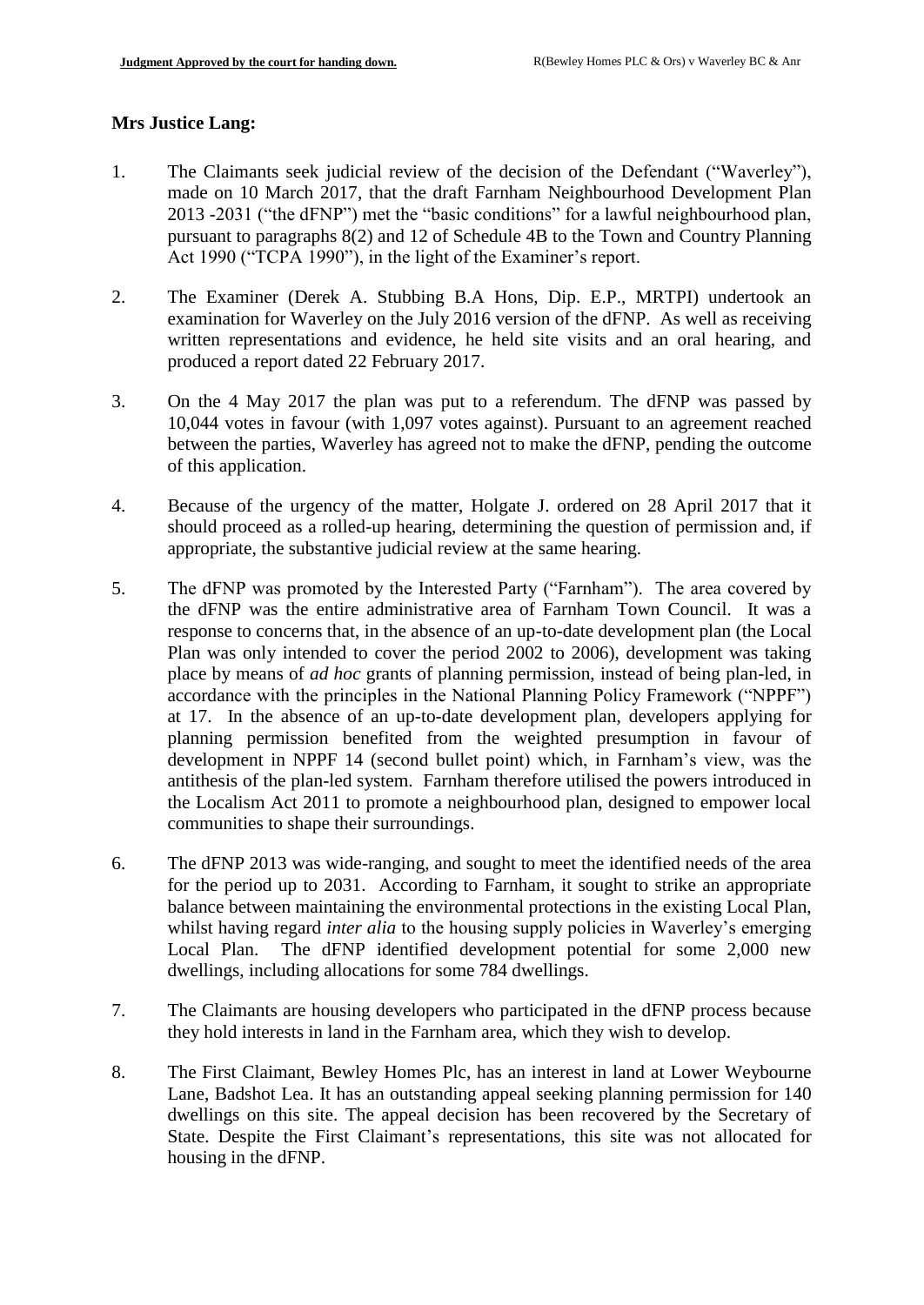## **Mrs Justice Lang:**

- 1. The Claimants seek judicial review of the decision of the Defendant ("Waverley"), made on 10 March 2017, that the draft Farnham Neighbourhood Development Plan 2013 -2031 ("the dFNP") met the "basic conditions" for a lawful neighbourhood plan, pursuant to paragraphs 8(2) and 12 of Schedule 4B to the Town and Country Planning Act 1990 ("TCPA 1990"), in the light of the Examiner's report.
- 2. The Examiner (Derek A. Stubbing B.A Hons, Dip. E.P., MRTPI) undertook an examination for Waverley on the July 2016 version of the dFNP. As well as receiving written representations and evidence, he held site visits and an oral hearing, and produced a report dated 22 February 2017.
- 3. On the 4 May 2017 the plan was put to a referendum. The dFNP was passed by 10,044 votes in favour (with 1,097 votes against). Pursuant to an agreement reached between the parties, Waverley has agreed not to make the dFNP, pending the outcome of this application.
- 4. Because of the urgency of the matter, Holgate J. ordered on 28 April 2017 that it should proceed as a rolled-up hearing, determining the question of permission and, if appropriate, the substantive judicial review at the same hearing.
- 5. The dFNP was promoted by the Interested Party ("Farnham"). The area covered by the dFNP was the entire administrative area of Farnham Town Council. It was a response to concerns that, in the absence of an up-to-date development plan (the Local Plan was only intended to cover the period 2002 to 2006), development was taking place by means of *ad hoc* grants of planning permission, instead of being plan-led, in accordance with the principles in the National Planning Policy Framework ("NPPF") at 17. In the absence of an up-to-date development plan, developers applying for planning permission benefited from the weighted presumption in favour of development in NPPF 14 (second bullet point) which, in Farnham's view, was the antithesis of the plan-led system. Farnham therefore utilised the powers introduced in the Localism Act 2011 to promote a neighbourhood plan, designed to empower local communities to shape their surroundings.
- 6. The dFNP 2013 was wide-ranging, and sought to meet the identified needs of the area for the period up to 2031. According to Farnham, it sought to strike an appropriate balance between maintaining the environmental protections in the existing Local Plan, whilst having regard *inter alia* to the housing supply policies in Waverley's emerging Local Plan. The dFNP identified development potential for some 2,000 new dwellings, including allocations for some 784 dwellings.
- 7. The Claimants are housing developers who participated in the dFNP process because they hold interests in land in the Farnham area, which they wish to develop.
- 8. The First Claimant, Bewley Homes Plc, has an interest in land at Lower Weybourne Lane, Badshot Lea. It has an outstanding appeal seeking planning permission for 140 dwellings on this site. The appeal decision has been recovered by the Secretary of State. Despite the First Claimant's representations, this site was not allocated for housing in the dFNP.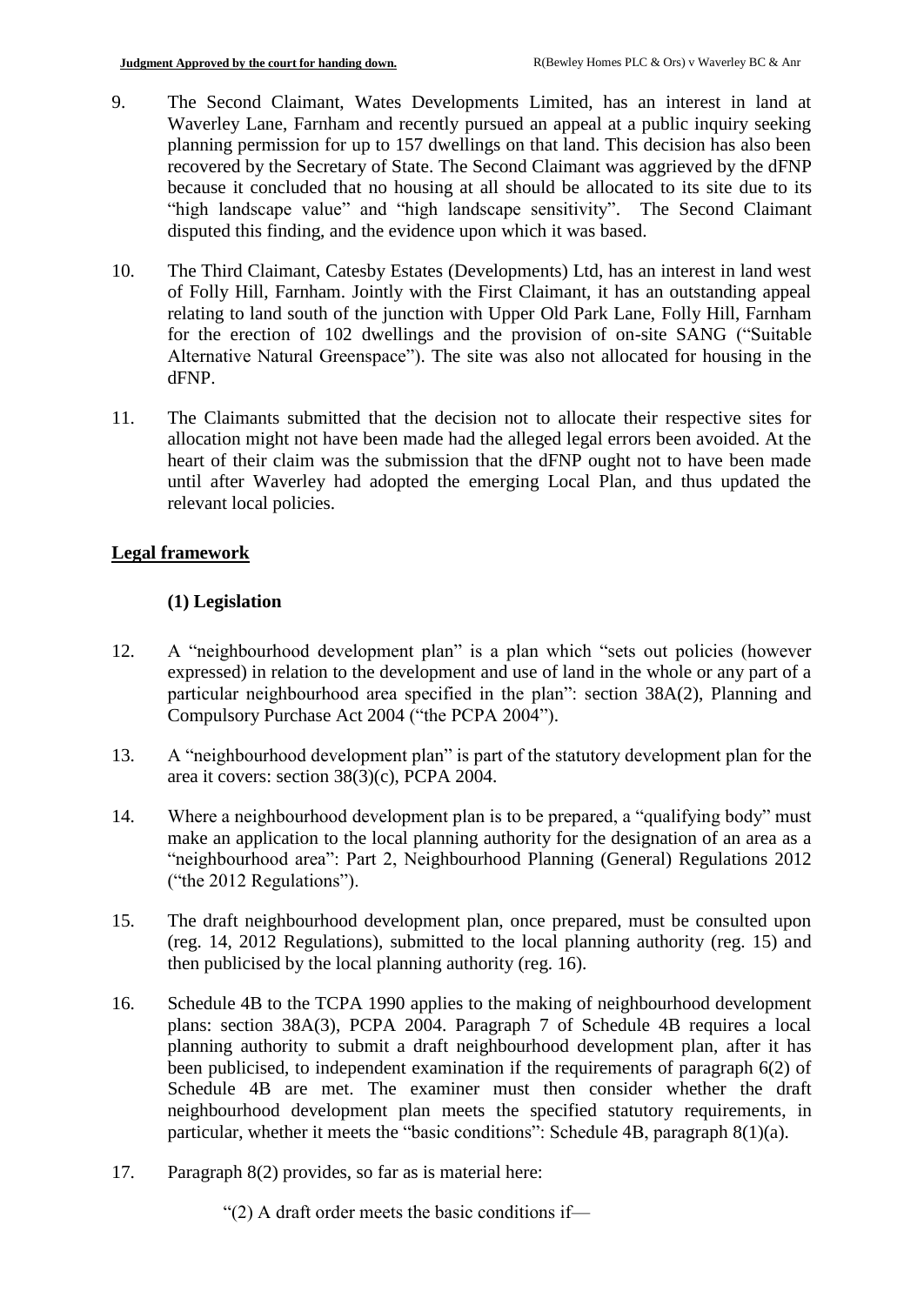- 9. The Second Claimant, Wates Developments Limited, has an interest in land at Waverley Lane, Farnham and recently pursued an appeal at a public inquiry seeking planning permission for up to 157 dwellings on that land. This decision has also been recovered by the Secretary of State. The Second Claimant was aggrieved by the dFNP because it concluded that no housing at all should be allocated to its site due to its "high landscape value" and "high landscape sensitivity". The Second Claimant disputed this finding, and the evidence upon which it was based.
- 10. The Third Claimant, Catesby Estates (Developments) Ltd, has an interest in land west of Folly Hill, Farnham. Jointly with the First Claimant, it has an outstanding appeal relating to land south of the junction with Upper Old Park Lane, Folly Hill, Farnham for the erection of 102 dwellings and the provision of on-site SANG ("Suitable Alternative Natural Greenspace"). The site was also not allocated for housing in the dFNP.
- 11. The Claimants submitted that the decision not to allocate their respective sites for allocation might not have been made had the alleged legal errors been avoided. At the heart of their claim was the submission that the dFNP ought not to have been made until after Waverley had adopted the emerging Local Plan, and thus updated the relevant local policies.

## **Legal framework**

## **(1) Legislation**

- 12. A "neighbourhood development plan" is a plan which "sets out policies (however expressed) in relation to the development and use of land in the whole or any part of a particular neighbourhood area specified in the plan": section 38A(2), Planning and Compulsory Purchase Act 2004 ("the PCPA 2004").
- 13. A "neighbourhood development plan" is part of the statutory development plan for the area it covers: section 38(3)(c), PCPA 2004.
- 14. Where a neighbourhood development plan is to be prepared, a "qualifying body" must make an application to the local planning authority for the designation of an area as a "neighbourhood area": Part 2, Neighbourhood Planning (General) Regulations 2012 ("the 2012 Regulations").
- 15. The draft neighbourhood development plan, once prepared, must be consulted upon (reg. 14, 2012 Regulations), submitted to the local planning authority (reg. 15) and then publicised by the local planning authority (reg. 16).
- 16. Schedule 4B to the TCPA 1990 applies to the making of neighbourhood development plans: section 38A(3), PCPA 2004. Paragraph 7 of Schedule 4B requires a local planning authority to submit a draft neighbourhood development plan, after it has been publicised, to independent examination if the requirements of paragraph 6(2) of Schedule 4B are met. The examiner must then consider whether the draft neighbourhood development plan meets the specified statutory requirements, in particular, whether it meets the "basic conditions": Schedule 4B, paragraph 8(1)(a).
- 17. Paragraph 8(2) provides, so far as is material here:

"(2) A draft order meets the basic conditions if—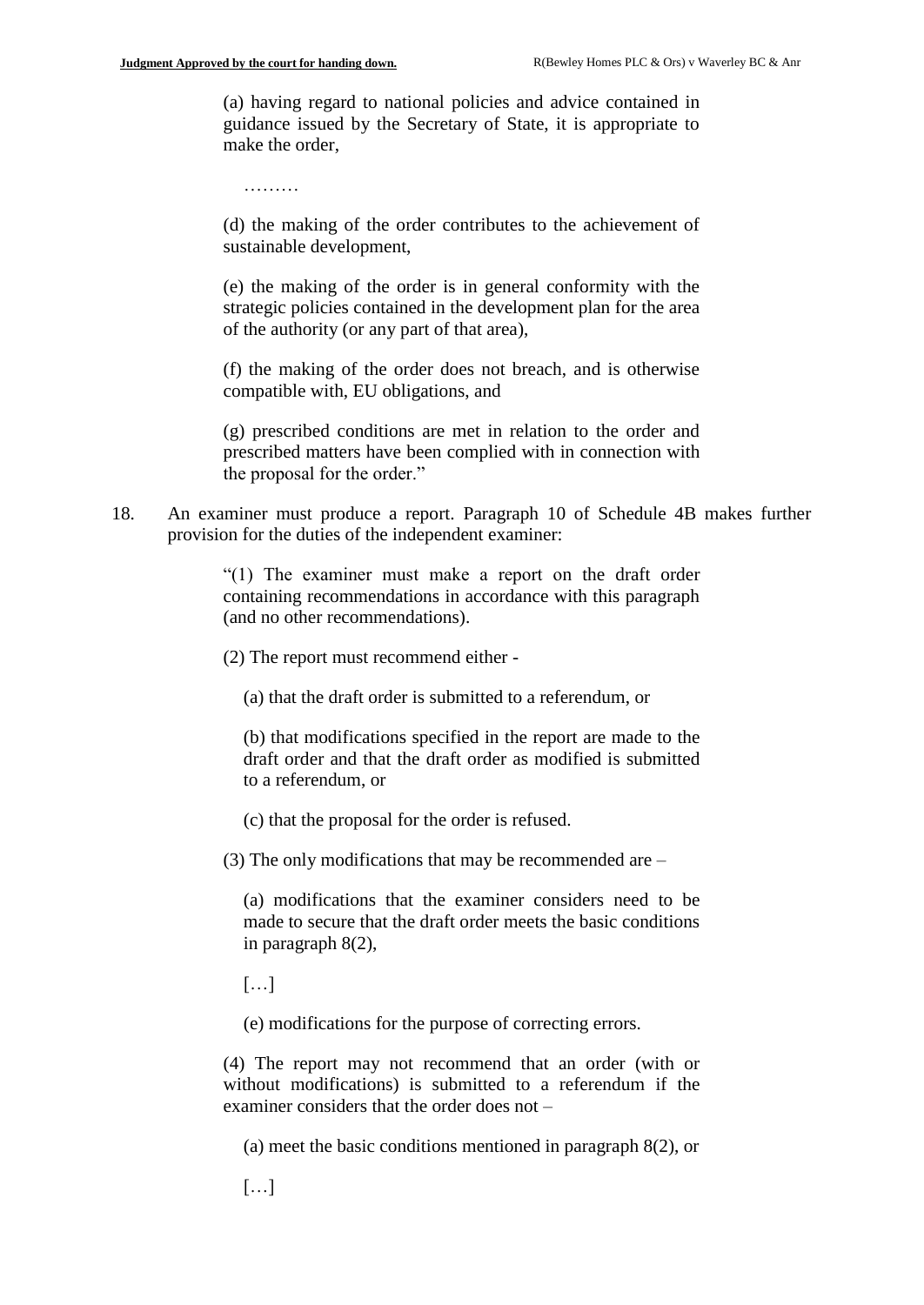(a) having regard to national policies and advice contained in guidance issued by the Secretary of State, it is appropriate to make the order,

………

(d) the making of the order contributes to the achievement of sustainable development,

(e) the making of the order is in general conformity with the strategic policies contained in the development plan for the area of the authority (or any part of that area),

(f) the making of the order does not breach, and is otherwise compatible with, EU obligations, and

(g) prescribed conditions are met in relation to the order and prescribed matters have been complied with in connection with the proposal for the order."

18. An examiner must produce a report. Paragraph 10 of Schedule 4B makes further provision for the duties of the independent examiner:

> "(1) The examiner must make a report on the draft order containing recommendations in accordance with this paragraph (and no other recommendations).

(2) The report must recommend either -

(a) that the draft order is submitted to a referendum, or

(b) that modifications specified in the report are made to the draft order and that the draft order as modified is submitted to a referendum, or

(c) that the proposal for the order is refused.

(3) The only modifications that may be recommended are –

(a) modifications that the examiner considers need to be made to secure that the draft order meets the basic conditions in paragraph 8(2),

[…]

(e) modifications for the purpose of correcting errors.

(4) The report may not recommend that an order (with or without modifications) is submitted to a referendum if the examiner considers that the order does not –

(a) meet the basic conditions mentioned in paragraph 8(2), or

[…]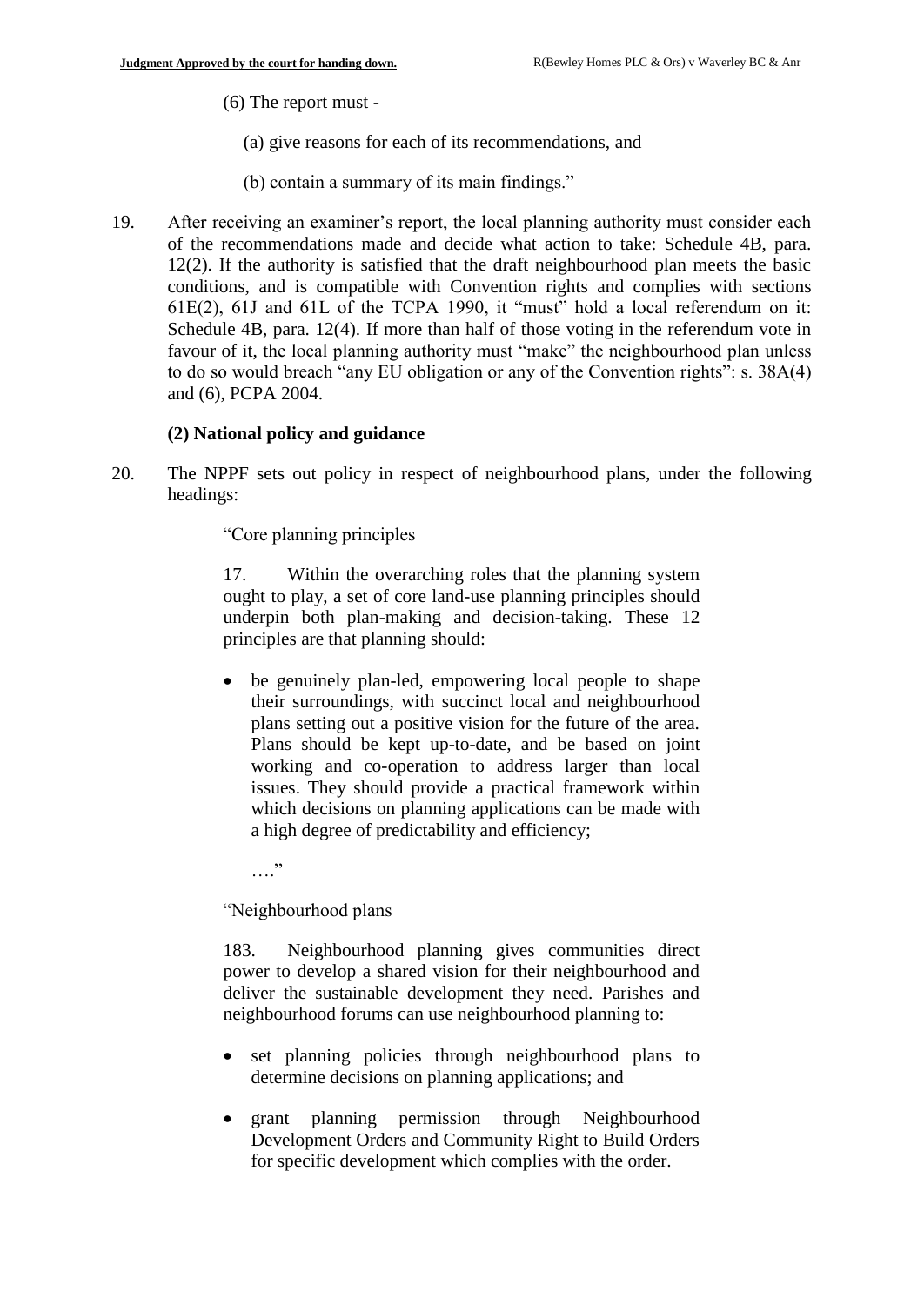(6) The report must -

- (a) give reasons for each of its recommendations, and
- (b) contain a summary of its main findings."
- 19. After receiving an examiner's report, the local planning authority must consider each of the recommendations made and decide what action to take: Schedule 4B, para. 12(2). If the authority is satisfied that the draft neighbourhood plan meets the basic conditions, and is compatible with Convention rights and complies with sections 61E(2), 61J and 61L of the TCPA 1990, it "must" hold a local referendum on it: Schedule 4B, para. 12(4). If more than half of those voting in the referendum vote in favour of it, the local planning authority must "make" the neighbourhood plan unless to do so would breach "any EU obligation or any of the Convention rights": s. 38A(4) and (6), PCPA 2004.

## **(2) National policy and guidance**

20. The NPPF sets out policy in respect of neighbourhood plans, under the following headings:

"Core planning principles

17. Within the overarching roles that the planning system ought to play, a set of core land-use planning principles should underpin both plan-making and decision-taking. These 12 principles are that planning should:

 be genuinely plan-led, empowering local people to shape their surroundings, with succinct local and neighbourhood plans setting out a positive vision for the future of the area. Plans should be kept up-to-date, and be based on joint working and co-operation to address larger than local issues. They should provide a practical framework within which decisions on planning applications can be made with a high degree of predictability and efficiency;

. . . . <sup>.</sup>

"Neighbourhood plans

183. Neighbourhood planning gives communities direct power to develop a shared vision for their neighbourhood and deliver the sustainable development they need. Parishes and neighbourhood forums can use neighbourhood planning to:

- set planning policies through neighbourhood plans to determine decisions on planning applications; and
- grant planning permission through Neighbourhood Development Orders and Community Right to Build Orders for specific development which complies with the order.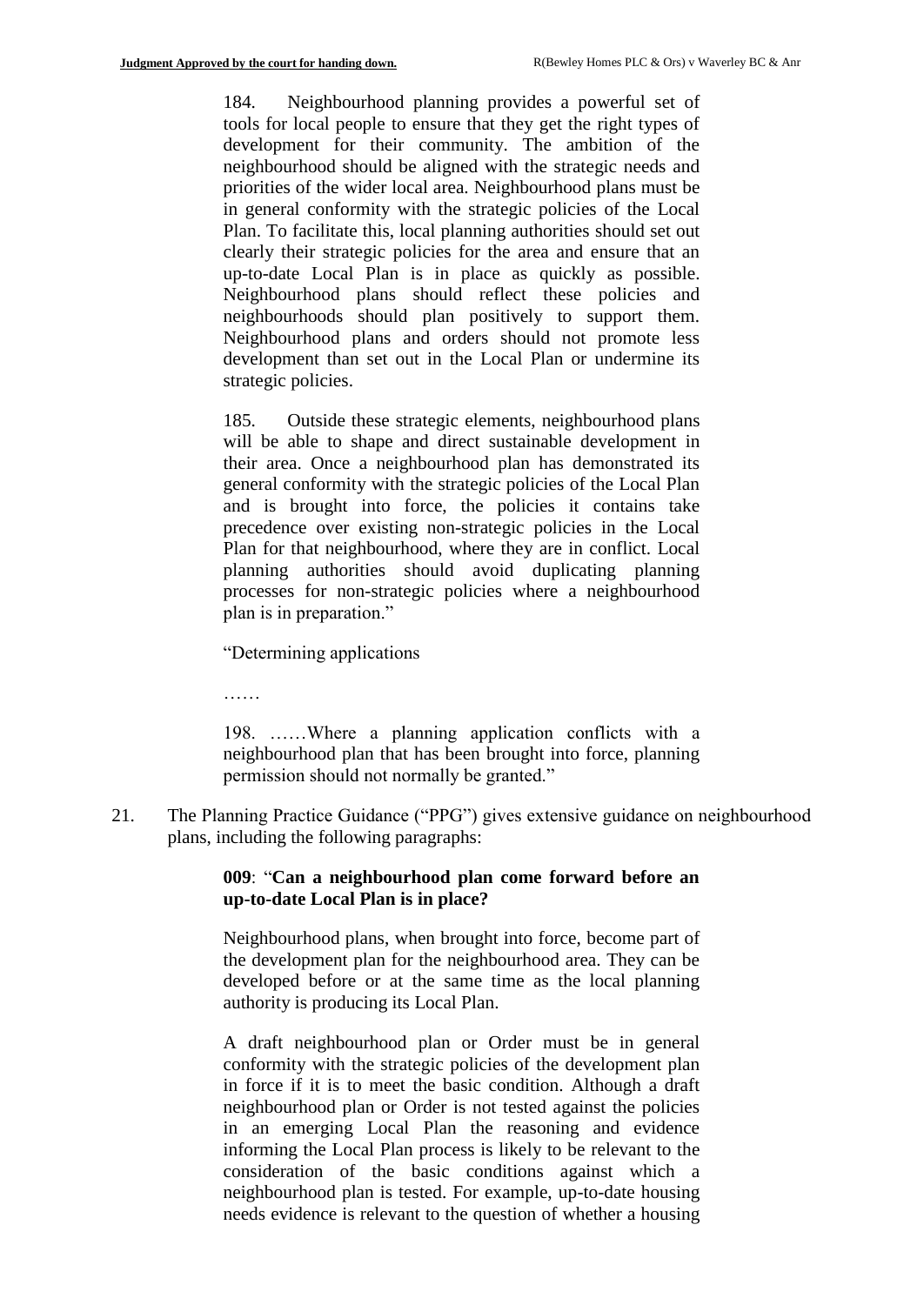184. Neighbourhood planning provides a powerful set of tools for local people to ensure that they get the right types of development for their community. The ambition of the neighbourhood should be aligned with the strategic needs and priorities of the wider local area. Neighbourhood plans must be in general conformity with the strategic policies of the Local Plan. To facilitate this, local planning authorities should set out clearly their strategic policies for the area and ensure that an up-to-date Local Plan is in place as quickly as possible. Neighbourhood plans should reflect these policies and neighbourhoods should plan positively to support them. Neighbourhood plans and orders should not promote less development than set out in the Local Plan or undermine its strategic policies.

185. Outside these strategic elements, neighbourhood plans will be able to shape and direct sustainable development in their area. Once a neighbourhood plan has demonstrated its general conformity with the strategic policies of the Local Plan and is brought into force, the policies it contains take precedence over existing non-strategic policies in the Local Plan for that neighbourhood, where they are in conflict. Local planning authorities should avoid duplicating planning processes for non-strategic policies where a neighbourhood plan is in preparation."

"Determining applications

……

198. ……Where a planning application conflicts with a neighbourhood plan that has been brought into force, planning permission should not normally be granted."

21. The Planning Practice Guidance ("PPG") gives extensive guidance on neighbourhood plans, including the following paragraphs:

## **009**: "**Can a neighbourhood plan come forward before an up-to-date Local Plan is in place?**

Neighbourhood plans, when brought into force, become part of the development plan for the neighbourhood area. They can be developed before or at the same time as the local planning authority is producing its Local Plan.

A draft neighbourhood plan or Order must be in general conformity with the strategic policies of the development plan in force if it is to meet the basic condition. Although a draft neighbourhood plan or Order is not tested against the policies in an emerging Local Plan the reasoning and evidence informing the Local Plan process is likely to be relevant to the consideration of the basic conditions against which a neighbourhood plan is tested. For example, up-to-date housing needs evidence is relevant to the question of whether a housing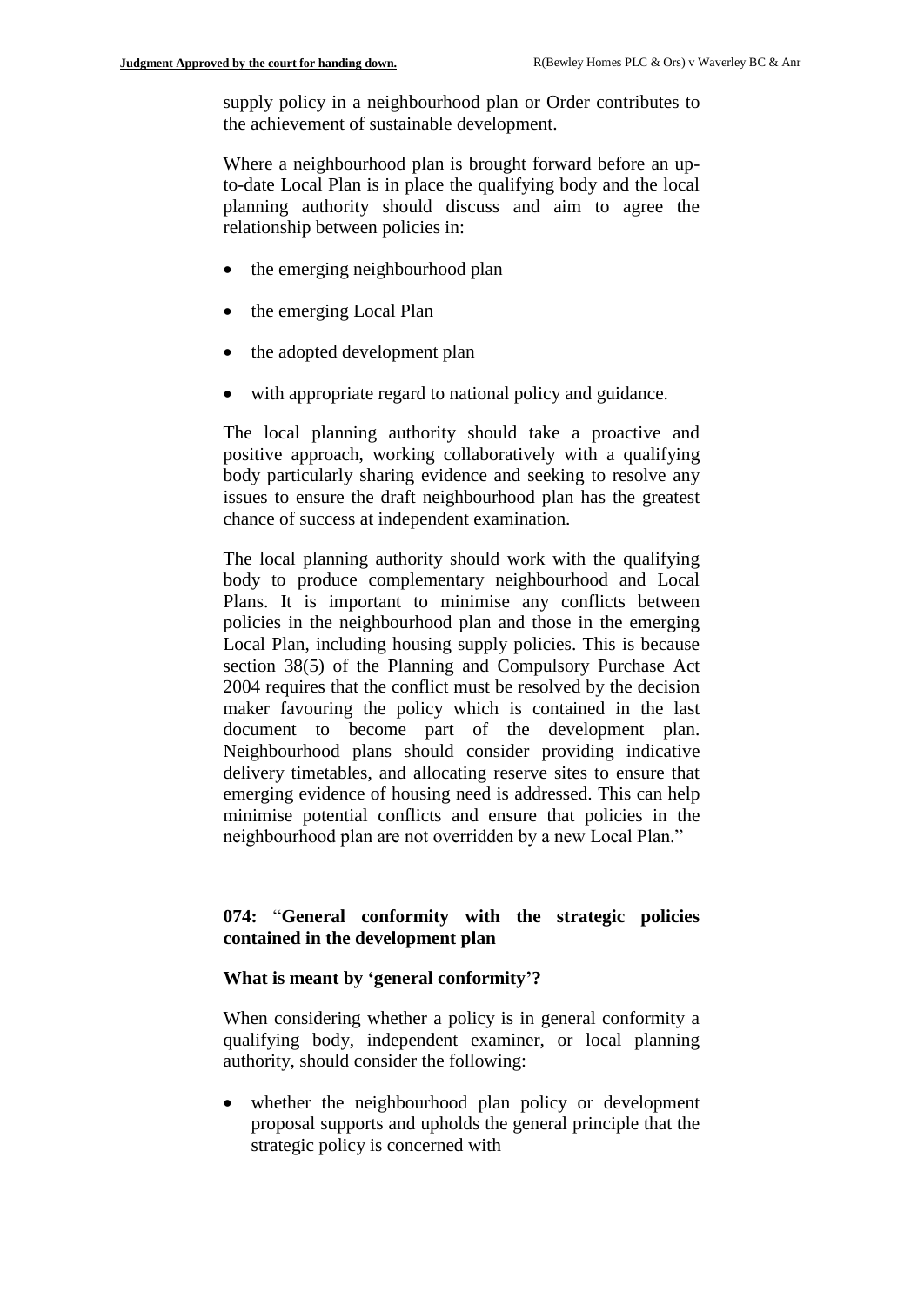supply policy in a neighbourhood plan or Order contributes to the achievement of sustainable development.

Where a neighbourhood plan is brought forward before an upto-date Local Plan is in place the qualifying body and the local planning authority should discuss and aim to agree the relationship between policies in:

- the emerging neighbourhood plan
- the emerging Local Plan
- the adopted development plan
- with appropriate regard to national policy and guidance.

The local planning authority should take a proactive and positive approach, working collaboratively with a qualifying body particularly sharing evidence and seeking to resolve any issues to ensure the draft neighbourhood plan has the greatest chance of success at independent examination.

The local planning authority should work with the qualifying body to produce complementary neighbourhood and Local Plans. It is important to minimise any conflicts between policies in the neighbourhood plan and those in the emerging Local Plan, including housing supply policies. This is because section 38(5) of the Planning and Compulsory Purchase Act 2004 requires that the conflict must be resolved by the decision maker favouring the policy which is contained in the last document to become part of the development plan. Neighbourhood plans should consider providing indicative delivery timetables, and allocating reserve sites to ensure that emerging evidence of housing need is addressed. This can help minimise potential conflicts and ensure that policies in the neighbourhood plan are not overridden by a new Local Plan."

## **074:** "**General conformity with the strategic policies contained in the development plan**

#### **What is meant by 'general conformity'?**

When considering whether a policy is in general conformity a qualifying body, independent examiner, or local planning authority, should consider the following:

 whether the neighbourhood plan policy or development proposal supports and upholds the general principle that the strategic policy is concerned with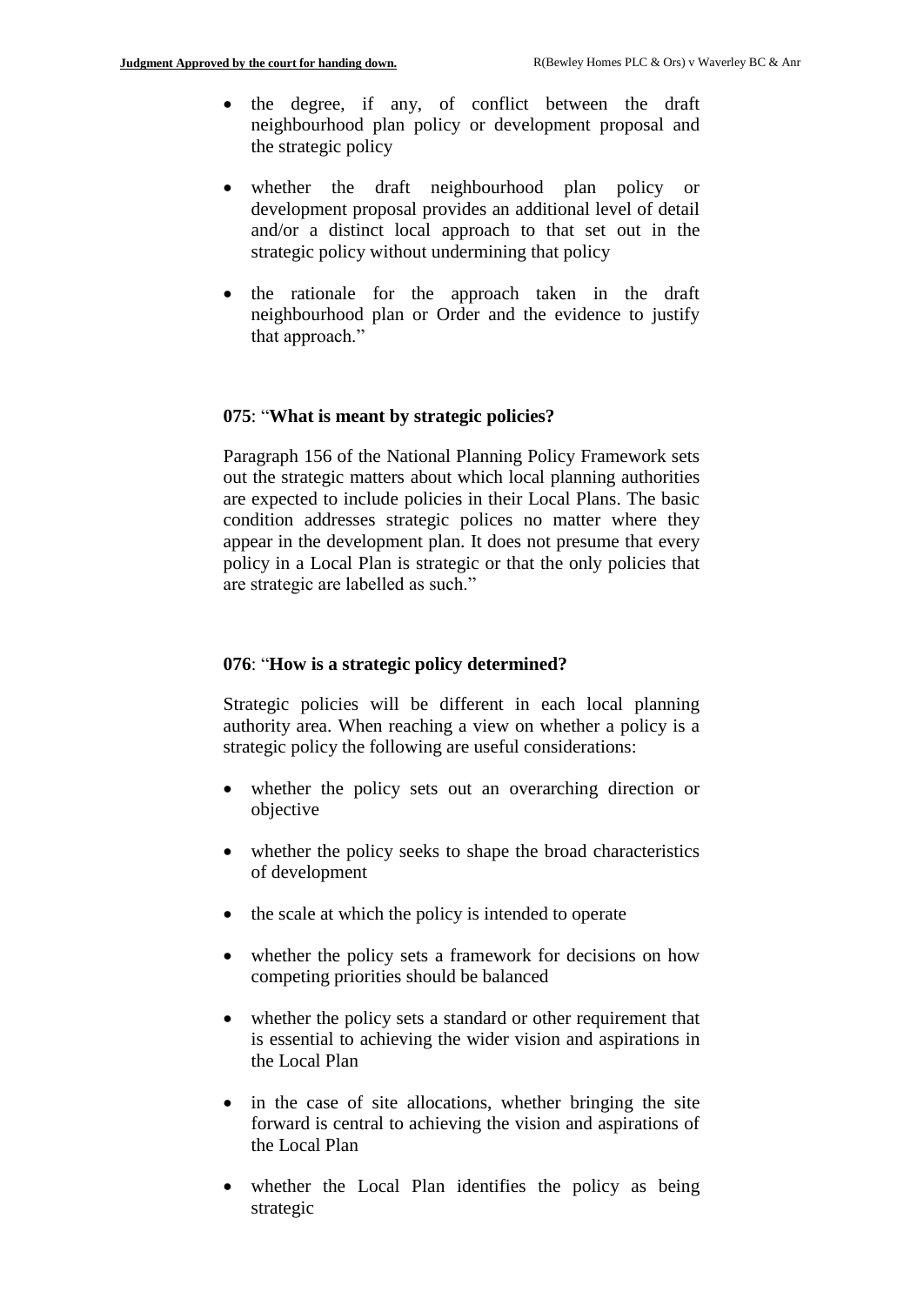- the degree, if any, of conflict between the draft neighbourhood plan policy or development proposal and the strategic policy
- whether the draft neighbourhood plan policy or development proposal provides an additional level of detail and/or a distinct local approach to that set out in the strategic policy without undermining that policy
- the rationale for the approach taken in the draft neighbourhood plan or Order and the evidence to justify that approach."

#### **075**: "**What is meant by strategic policies?**

Paragraph 156 of the National Planning Policy Framework sets out the strategic matters about which local planning authorities are expected to include policies in their Local Plans. The basic condition addresses strategic polices no matter where they appear in the development plan. It does not presume that every policy in a Local Plan is strategic or that the only policies that are strategic are labelled as such."

## **076**: "**How is a strategic policy determined?**

Strategic policies will be different in each local planning authority area. When reaching a view on whether a policy is a strategic policy the following are useful considerations:

- whether the policy sets out an overarching direction or objective
- whether the policy seeks to shape the broad characteristics of development
- the scale at which the policy is intended to operate
- whether the policy sets a framework for decisions on how competing priorities should be balanced
- whether the policy sets a standard or other requirement that is essential to achieving the wider vision and aspirations in the Local Plan
- in the case of site allocations, whether bringing the site forward is central to achieving the vision and aspirations of the Local Plan
- whether the Local Plan identifies the policy as being strategic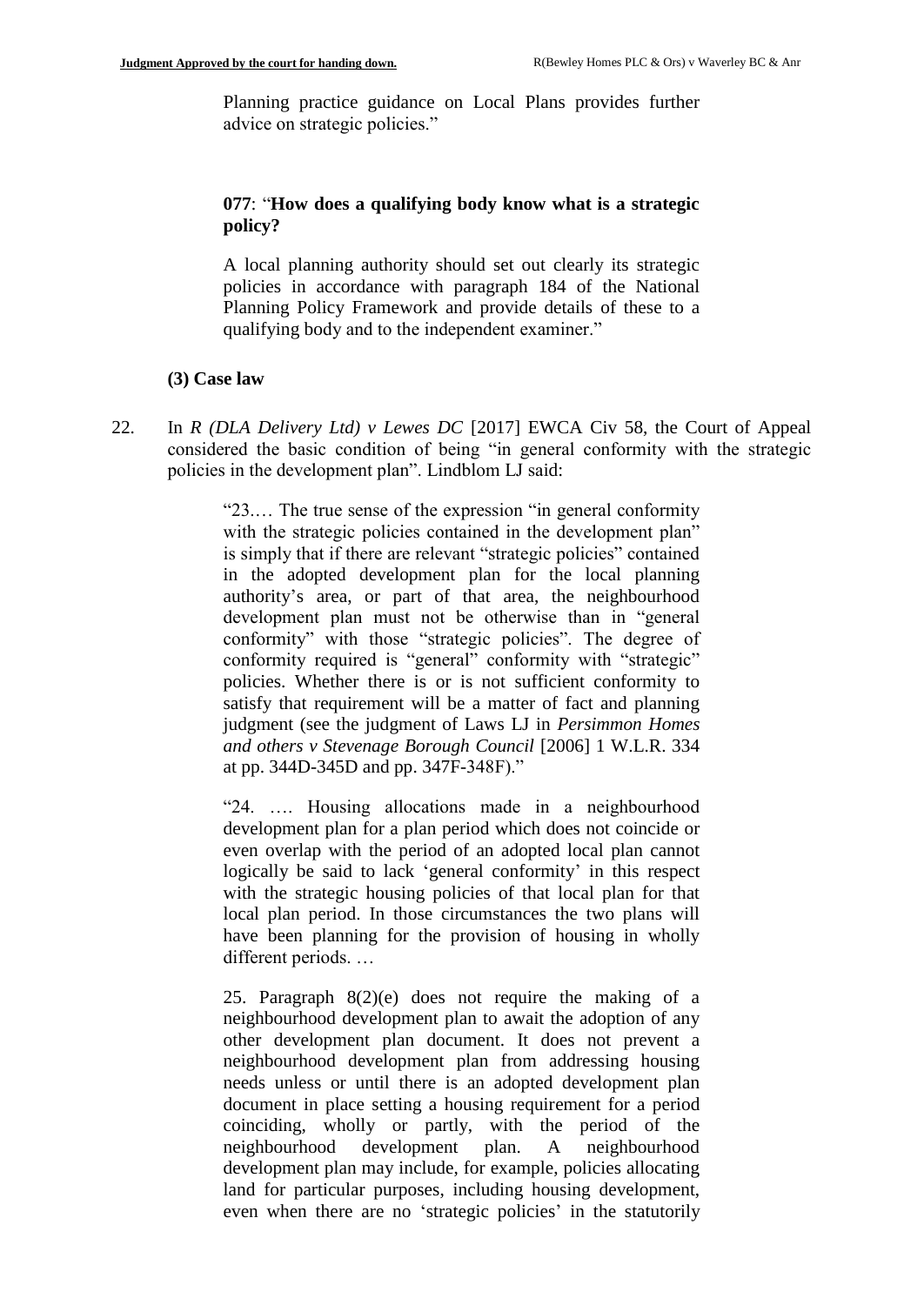Planning practice guidance on Local Plans provides further advice on strategic policies."

## **077**: "**How does a qualifying body know what is a strategic policy?**

A local planning authority should set out clearly its strategic policies in accordance with paragraph 184 of the National Planning Policy Framework and provide details of these to a qualifying body and to the independent examiner."

#### **(3) Case law**

22. In *R (DLA Delivery Ltd) v Lewes DC* [2017] EWCA Civ 58, the Court of Appeal considered the basic condition of being "in general conformity with the strategic policies in the development plan". Lindblom LJ said:

> "23.… The true sense of the expression "in general conformity with the strategic policies contained in the development plan" is simply that if there are relevant "strategic policies" contained in the adopted development plan for the local planning authority's area, or part of that area, the neighbourhood development plan must not be otherwise than in "general conformity" with those "strategic policies". The degree of conformity required is "general" conformity with "strategic" policies. Whether there is or is not sufficient conformity to satisfy that requirement will be a matter of fact and planning judgment (see the judgment of Laws LJ in *Persimmon Homes and others v Stevenage Borough Council* [2006] 1 W.L.R. 334 at pp. 344D-345D and pp. 347F-348F)."

> "24. …. Housing allocations made in a neighbourhood development plan for a plan period which does not coincide or even overlap with the period of an adopted local plan cannot logically be said to lack 'general conformity' in this respect with the strategic housing policies of that local plan for that local plan period. In those circumstances the two plans will have been planning for the provision of housing in wholly different periods. …

> 25. Paragraph 8(2)(e) does not require the making of a neighbourhood development plan to await the adoption of any other development plan document. It does not prevent a neighbourhood development plan from addressing housing needs unless or until there is an adopted development plan document in place setting a housing requirement for a period coinciding, wholly or partly, with the period of the neighbourhood development plan. A neighbourhood development plan may include, for example, policies allocating land for particular purposes, including housing development, even when there are no 'strategic policies' in the statutorily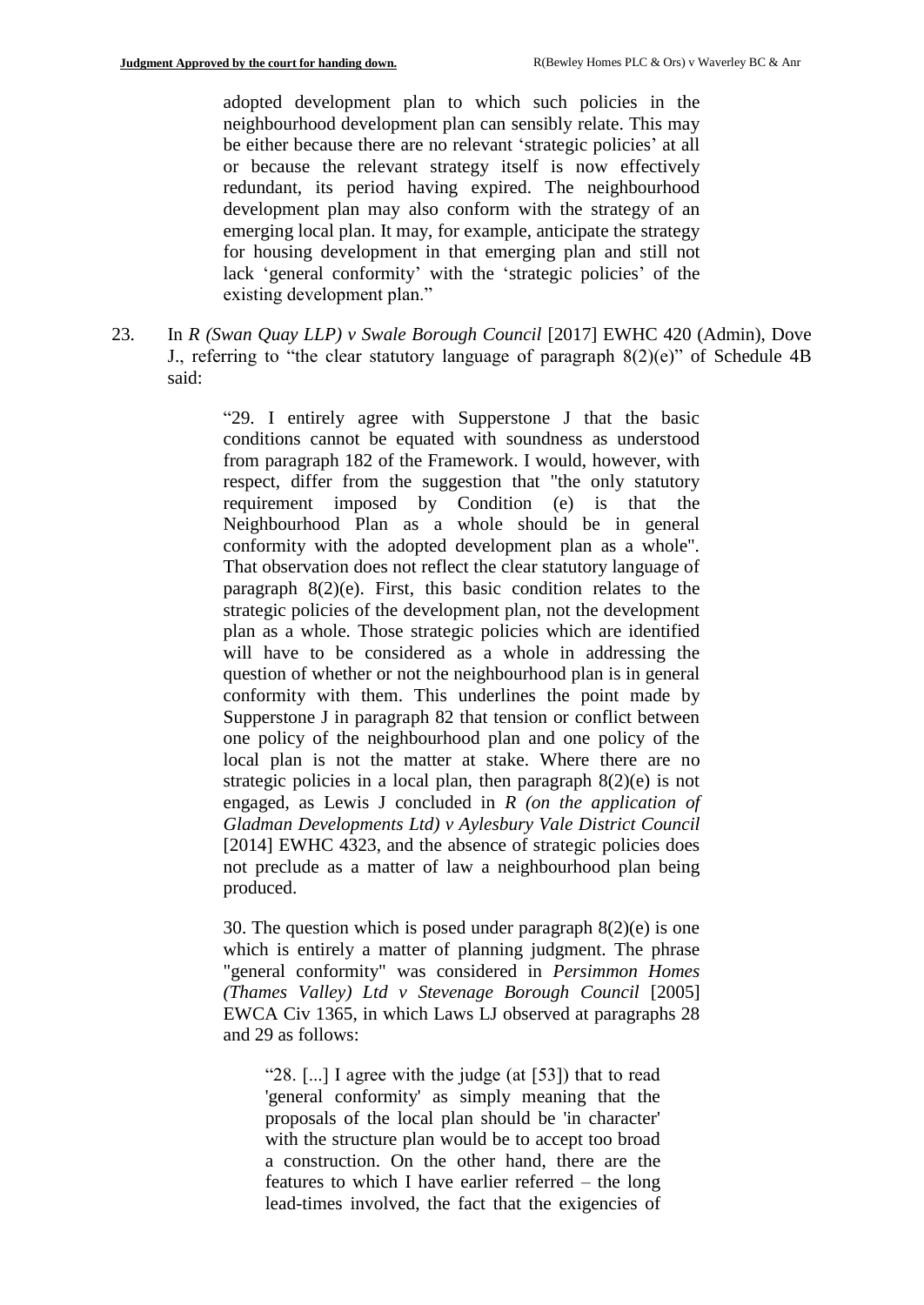adopted development plan to which such policies in the neighbourhood development plan can sensibly relate. This may be either because there are no relevant 'strategic policies' at all or because the relevant strategy itself is now effectively redundant, its period having expired. The neighbourhood development plan may also conform with the strategy of an emerging local plan. It may, for example, anticipate the strategy for housing development in that emerging plan and still not lack 'general conformity' with the 'strategic policies' of the existing development plan."

23. In *R (Swan Quay LLP) v Swale Borough Council* [2017] EWHC 420 (Admin), Dove J., referring to "the clear statutory language of paragraph  $8(2)(e)$ " of Schedule 4B said:

> "29. I entirely agree with Supperstone J that the basic conditions cannot be equated with soundness as understood from paragraph 182 of the Framework. I would, however, with respect, differ from the suggestion that "the only statutory requirement imposed by Condition (e) is that the Neighbourhood Plan as a whole should be in general conformity with the adopted development plan as a whole". That observation does not reflect the clear statutory language of paragraph 8(2)(e). First, this basic condition relates to the strategic policies of the development plan, not the development plan as a whole. Those strategic policies which are identified will have to be considered as a whole in addressing the question of whether or not the neighbourhood plan is in general conformity with them. This underlines the point made by Supperstone J in paragraph 82 that tension or conflict between one policy of the neighbourhood plan and one policy of the local plan is not the matter at stake. Where there are no strategic policies in a local plan, then paragraph  $8(2)(e)$  is not engaged, as Lewis J concluded in *R (on the application of Gladman Developments Ltd) v Aylesbury Vale District Council* [2014] EWHC 4323, and the absence of strategic policies does not preclude as a matter of law a neighbourhood plan being produced.

> 30. The question which is posed under paragraph  $8(2)(e)$  is one which is entirely a matter of planning judgment. The phrase "general conformity" was considered in *Persimmon Homes (Thames Valley) Ltd v Stevenage Borough Council* [2005] EWCA Civ 1365, in which Laws LJ observed at paragraphs 28 and 29 as follows:

"28. [...] I agree with the judge (at [53]) that to read 'general conformity' as simply meaning that the proposals of the local plan should be 'in character' with the structure plan would be to accept too broad a construction. On the other hand, there are the features to which I have earlier referred – the long lead-times involved, the fact that the exigencies of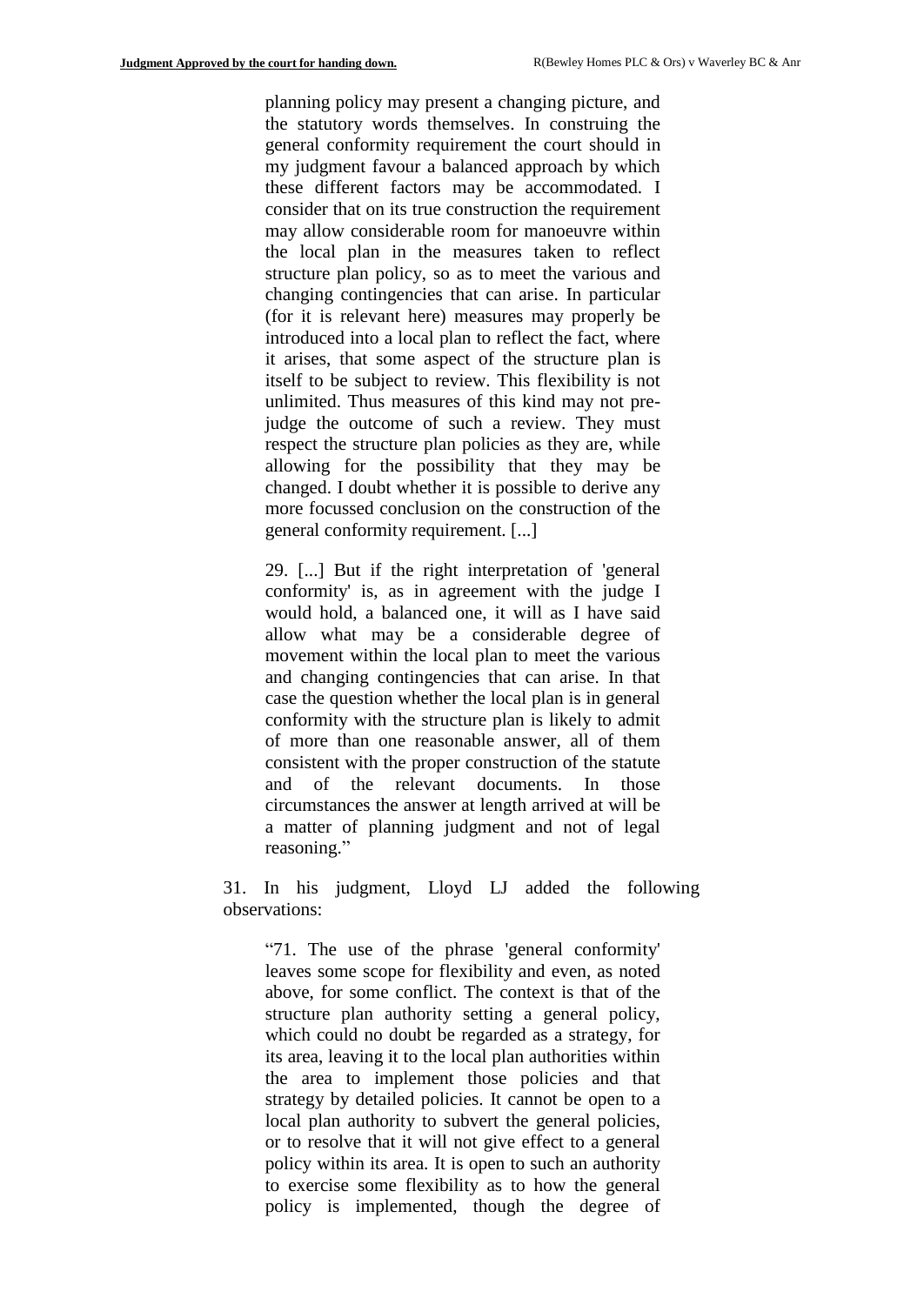planning policy may present a changing picture, and the statutory words themselves. In construing the general conformity requirement the court should in my judgment favour a balanced approach by which these different factors may be accommodated. I consider that on its true construction the requirement may allow considerable room for manoeuvre within the local plan in the measures taken to reflect structure plan policy, so as to meet the various and changing contingencies that can arise. In particular (for it is relevant here) measures may properly be introduced into a local plan to reflect the fact, where it arises, that some aspect of the structure plan is itself to be subject to review. This flexibility is not unlimited. Thus measures of this kind may not prejudge the outcome of such a review. They must respect the structure plan policies as they are, while allowing for the possibility that they may be changed. I doubt whether it is possible to derive any more focussed conclusion on the construction of the general conformity requirement. [...]

29. [...] But if the right interpretation of 'general conformity' is, as in agreement with the judge I would hold, a balanced one, it will as I have said allow what may be a considerable degree of movement within the local plan to meet the various and changing contingencies that can arise. In that case the question whether the local plan is in general conformity with the structure plan is likely to admit of more than one reasonable answer, all of them consistent with the proper construction of the statute and of the relevant documents. In those circumstances the answer at length arrived at will be a matter of planning judgment and not of legal reasoning."

31. In his judgment, Lloyd LJ added the following observations:

"71. The use of the phrase 'general conformity' leaves some scope for flexibility and even, as noted above, for some conflict. The context is that of the structure plan authority setting a general policy, which could no doubt be regarded as a strategy, for its area, leaving it to the local plan authorities within the area to implement those policies and that strategy by detailed policies. It cannot be open to a local plan authority to subvert the general policies, or to resolve that it will not give effect to a general policy within its area. It is open to such an authority to exercise some flexibility as to how the general policy is implemented, though the degree of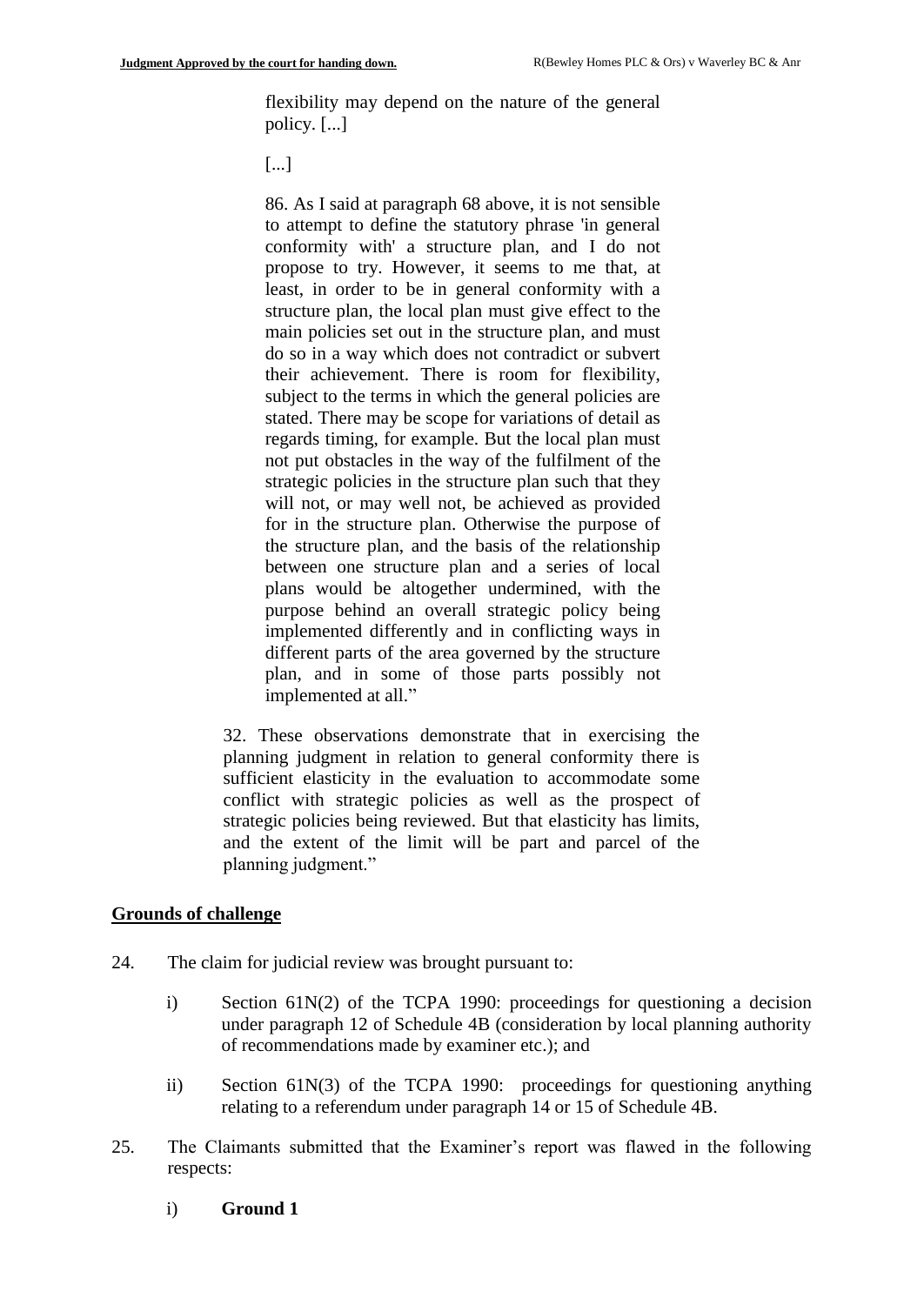flexibility may depend on the nature of the general policy. [...]

[...]

86. As I said at paragraph 68 above, it is not sensible to attempt to define the statutory phrase 'in general conformity with' a structure plan, and I do not propose to try. However, it seems to me that, at least, in order to be in general conformity with a structure plan, the local plan must give effect to the main policies set out in the structure plan, and must do so in a way which does not contradict or subvert their achievement. There is room for flexibility, subject to the terms in which the general policies are stated. There may be scope for variations of detail as regards timing, for example. But the local plan must not put obstacles in the way of the fulfilment of the strategic policies in the structure plan such that they will not, or may well not, be achieved as provided for in the structure plan. Otherwise the purpose of the structure plan, and the basis of the relationship between one structure plan and a series of local plans would be altogether undermined, with the purpose behind an overall strategic policy being implemented differently and in conflicting ways in different parts of the area governed by the structure plan, and in some of those parts possibly not implemented at all."

32. These observations demonstrate that in exercising the planning judgment in relation to general conformity there is sufficient elasticity in the evaluation to accommodate some conflict with strategic policies as well as the prospect of strategic policies being reviewed. But that elasticity has limits, and the extent of the limit will be part and parcel of the planning judgment."

## **Grounds of challenge**

- 24. The claim for judicial review was brought pursuant to:
	- i) Section 61N(2) of the TCPA 1990: proceedings for questioning a decision under paragraph 12 of Schedule 4B (consideration by local planning authority of recommendations made by examiner etc.); and
	- ii) Section 61N(3) of the TCPA 1990: proceedings for questioning anything relating to a referendum under paragraph 14 or 15 of Schedule 4B.
- 25. The Claimants submitted that the Examiner's report was flawed in the following respects:
	- i) **Ground 1**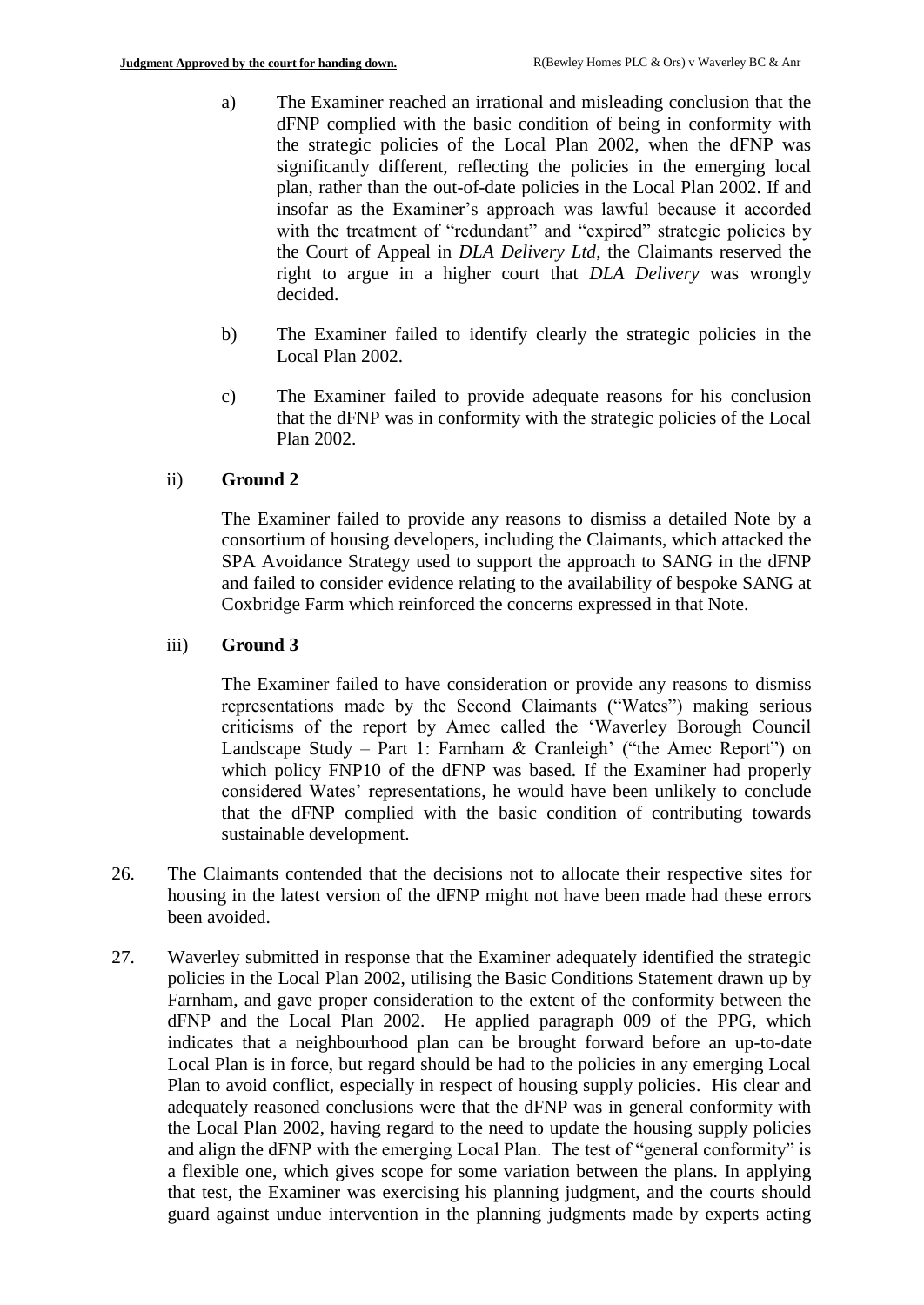- a) The Examiner reached an irrational and misleading conclusion that the dFNP complied with the basic condition of being in conformity with the strategic policies of the Local Plan 2002, when the dFNP was significantly different, reflecting the policies in the emerging local plan, rather than the out-of-date policies in the Local Plan 2002. If and insofar as the Examiner's approach was lawful because it accorded with the treatment of "redundant" and "expired" strategic policies by the Court of Appeal in *DLA Delivery Ltd*, the Claimants reserved the right to argue in a higher court that *DLA Delivery* was wrongly decided.
- b) The Examiner failed to identify clearly the strategic policies in the Local Plan 2002.
- c) The Examiner failed to provide adequate reasons for his conclusion that the dFNP was in conformity with the strategic policies of the Local Plan 2002.

## ii) **Ground 2**

The Examiner failed to provide any reasons to dismiss a detailed Note by a consortium of housing developers, including the Claimants, which attacked the SPA Avoidance Strategy used to support the approach to SANG in the dFNP and failed to consider evidence relating to the availability of bespoke SANG at Coxbridge Farm which reinforced the concerns expressed in that Note.

## iii) **Ground 3**

The Examiner failed to have consideration or provide any reasons to dismiss representations made by the Second Claimants ("Wates") making serious criticisms of the report by Amec called the 'Waverley Borough Council Landscape Study – Part 1: Farnham & Cranleigh' ("the Amec Report") on which policy FNP10 of the dFNP was based. If the Examiner had properly considered Wates' representations, he would have been unlikely to conclude that the dFNP complied with the basic condition of contributing towards sustainable development.

- 26. The Claimants contended that the decisions not to allocate their respective sites for housing in the latest version of the dFNP might not have been made had these errors been avoided.
- 27. Waverley submitted in response that the Examiner adequately identified the strategic policies in the Local Plan 2002, utilising the Basic Conditions Statement drawn up by Farnham, and gave proper consideration to the extent of the conformity between the dFNP and the Local Plan 2002. He applied paragraph 009 of the PPG, which indicates that a neighbourhood plan can be brought forward before an up-to-date Local Plan is in force, but regard should be had to the policies in any emerging Local Plan to avoid conflict, especially in respect of housing supply policies. His clear and adequately reasoned conclusions were that the dFNP was in general conformity with the Local Plan 2002, having regard to the need to update the housing supply policies and align the dFNP with the emerging Local Plan. The test of "general conformity" is a flexible one, which gives scope for some variation between the plans. In applying that test, the Examiner was exercising his planning judgment, and the courts should guard against undue intervention in the planning judgments made by experts acting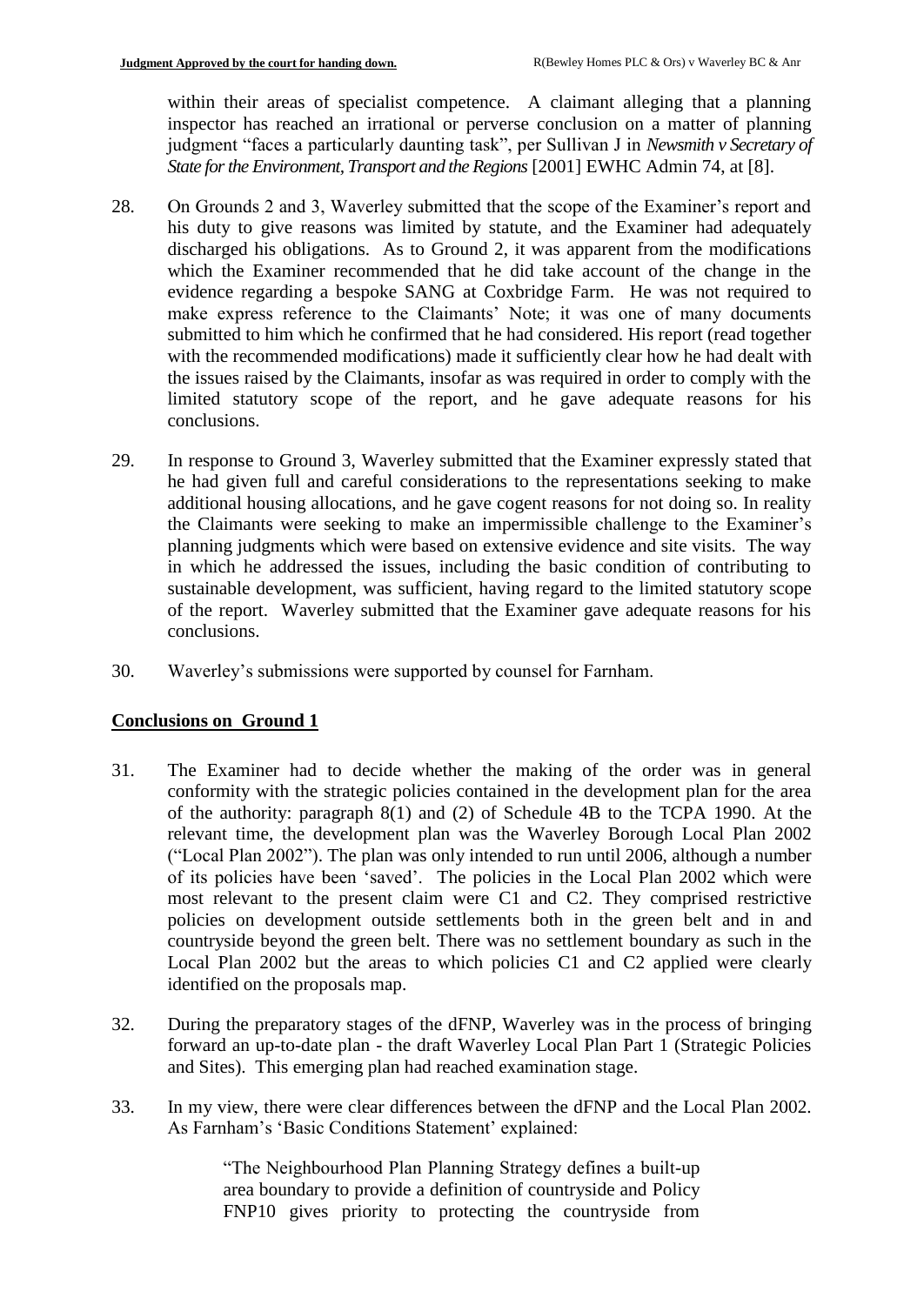within their areas of specialist competence. A claimant alleging that a planning inspector has reached an irrational or perverse conclusion on a matter of planning judgment "faces a particularly daunting task", per Sullivan J in *Newsmith v Secretary of State for the Environment, Transport and the Regions* [2001] EWHC Admin 74, at [8].

- 28. On Grounds 2 and 3, Waverley submitted that the scope of the Examiner's report and his duty to give reasons was limited by statute, and the Examiner had adequately discharged his obligations. As to Ground 2, it was apparent from the modifications which the Examiner recommended that he did take account of the change in the evidence regarding a bespoke SANG at Coxbridge Farm. He was not required to make express reference to the Claimants' Note; it was one of many documents submitted to him which he confirmed that he had considered. His report (read together with the recommended modifications) made it sufficiently clear how he had dealt with the issues raised by the Claimants, insofar as was required in order to comply with the limited statutory scope of the report, and he gave adequate reasons for his conclusions.
- 29. In response to Ground 3, Waverley submitted that the Examiner expressly stated that he had given full and careful considerations to the representations seeking to make additional housing allocations, and he gave cogent reasons for not doing so. In reality the Claimants were seeking to make an impermissible challenge to the Examiner's planning judgments which were based on extensive evidence and site visits. The way in which he addressed the issues, including the basic condition of contributing to sustainable development, was sufficient, having regard to the limited statutory scope of the report. Waverley submitted that the Examiner gave adequate reasons for his conclusions.
- 30. Waverley's submissions were supported by counsel for Farnham.

## **Conclusions on Ground 1**

- 31. The Examiner had to decide whether the making of the order was in general conformity with the strategic policies contained in the development plan for the area of the authority: paragraph 8(1) and (2) of Schedule 4B to the TCPA 1990. At the relevant time, the development plan was the Waverley Borough Local Plan 2002 ("Local Plan 2002"). The plan was only intended to run until 2006, although a number of its policies have been 'saved'. The policies in the Local Plan 2002 which were most relevant to the present claim were C1 and C2. They comprised restrictive policies on development outside settlements both in the green belt and in and countryside beyond the green belt. There was no settlement boundary as such in the Local Plan 2002 but the areas to which policies C1 and C2 applied were clearly identified on the proposals map.
- 32. During the preparatory stages of the dFNP, Waverley was in the process of bringing forward an up-to-date plan - the draft Waverley Local Plan Part 1 (Strategic Policies and Sites). This emerging plan had reached examination stage.
- 33. In my view, there were clear differences between the dFNP and the Local Plan 2002. As Farnham's 'Basic Conditions Statement' explained:

"The Neighbourhood Plan Planning Strategy defines a built-up area boundary to provide a definition of countryside and Policy FNP10 gives priority to protecting the countryside from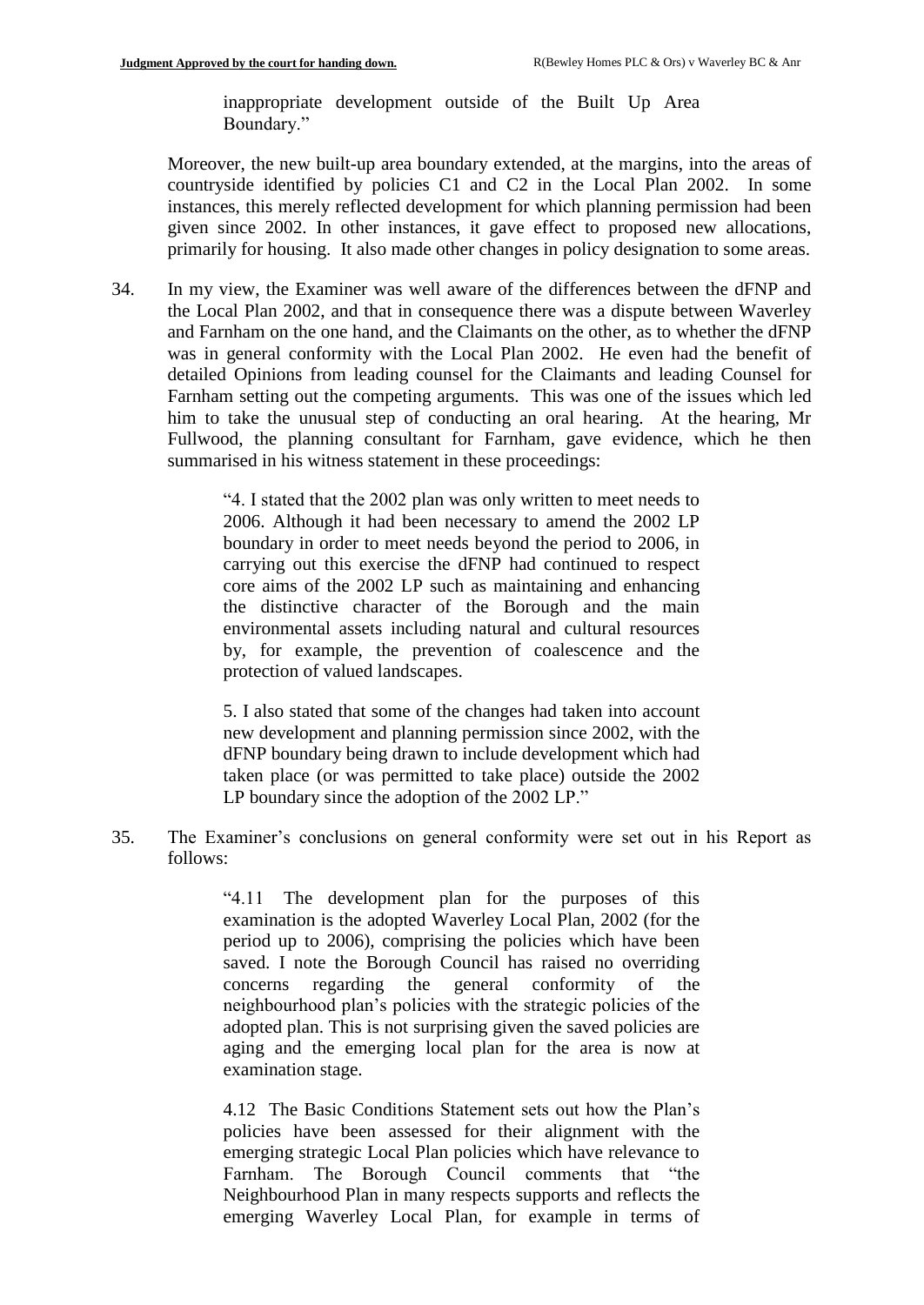inappropriate development outside of the Built Up Area Boundary."

Moreover, the new built-up area boundary extended, at the margins, into the areas of countryside identified by policies C1 and C2 in the Local Plan 2002. In some instances, this merely reflected development for which planning permission had been given since 2002. In other instances, it gave effect to proposed new allocations, primarily for housing. It also made other changes in policy designation to some areas.

34. In my view, the Examiner was well aware of the differences between the dFNP and the Local Plan 2002, and that in consequence there was a dispute between Waverley and Farnham on the one hand, and the Claimants on the other, as to whether the dFNP was in general conformity with the Local Plan 2002. He even had the benefit of detailed Opinions from leading counsel for the Claimants and leading Counsel for Farnham setting out the competing arguments. This was one of the issues which led him to take the unusual step of conducting an oral hearing. At the hearing, Mr Fullwood, the planning consultant for Farnham, gave evidence, which he then summarised in his witness statement in these proceedings:

> "4. I stated that the 2002 plan was only written to meet needs to 2006. Although it had been necessary to amend the 2002 LP boundary in order to meet needs beyond the period to 2006, in carrying out this exercise the dFNP had continued to respect core aims of the 2002 LP such as maintaining and enhancing the distinctive character of the Borough and the main environmental assets including natural and cultural resources by, for example, the prevention of coalescence and the protection of valued landscapes.

> 5. I also stated that some of the changes had taken into account new development and planning permission since 2002, with the dFNP boundary being drawn to include development which had taken place (or was permitted to take place) outside the 2002 LP boundary since the adoption of the 2002 LP."

35. The Examiner's conclusions on general conformity were set out in his Report as follows:

> "4.11 The development plan for the purposes of this examination is the adopted Waverley Local Plan, 2002 (for the period up to 2006), comprising the policies which have been saved. I note the Borough Council has raised no overriding concerns regarding the general conformity of the neighbourhood plan's policies with the strategic policies of the adopted plan. This is not surprising given the saved policies are aging and the emerging local plan for the area is now at examination stage.

> 4.12 The Basic Conditions Statement sets out how the Plan's policies have been assessed for their alignment with the emerging strategic Local Plan policies which have relevance to Farnham. The Borough Council comments that "the Neighbourhood Plan in many respects supports and reflects the emerging Waverley Local Plan, for example in terms of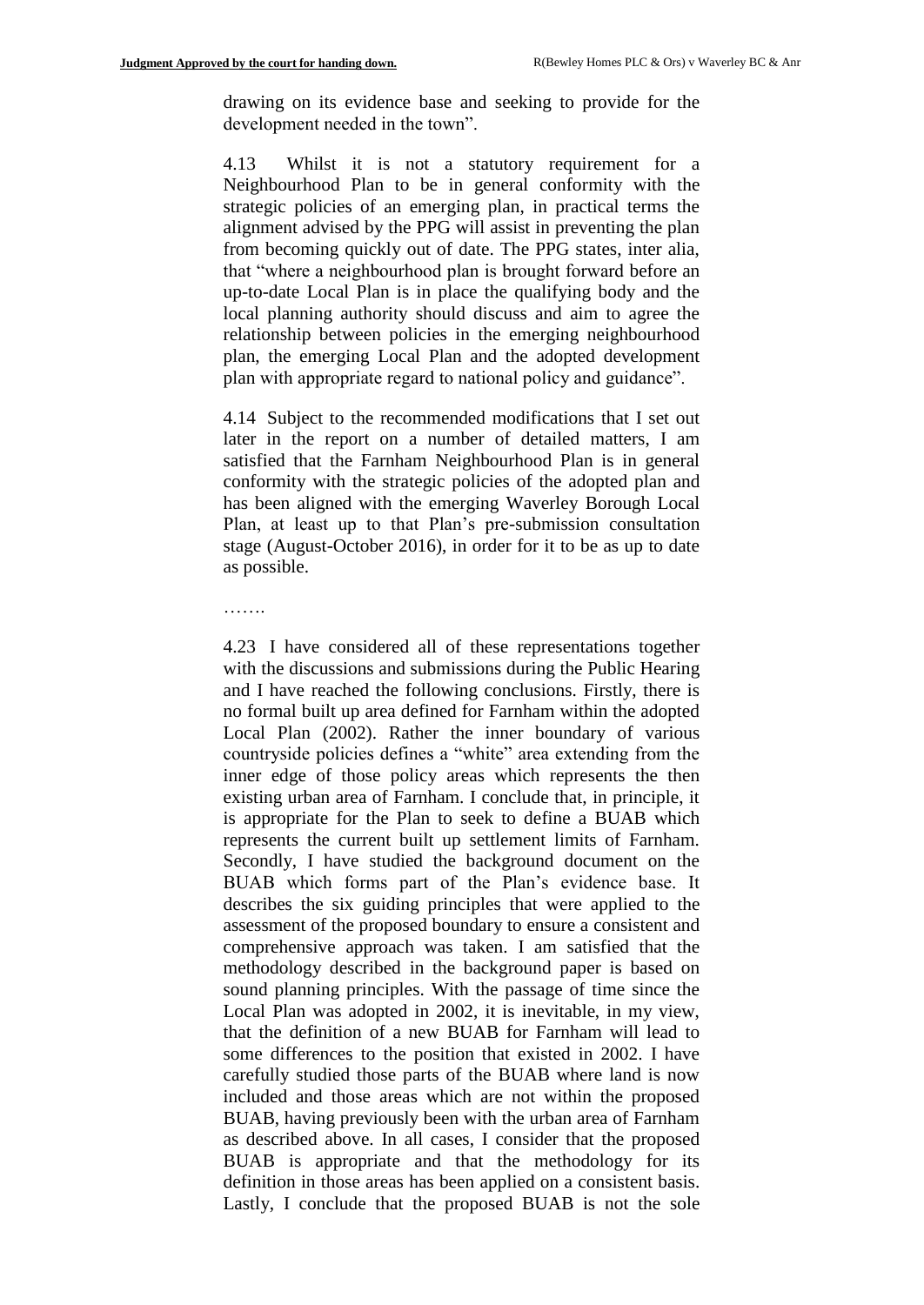……

drawing on its evidence base and seeking to provide for the development needed in the town".

4.13 Whilst it is not a statutory requirement for a Neighbourhood Plan to be in general conformity with the strategic policies of an emerging plan, in practical terms the alignment advised by the PPG will assist in preventing the plan from becoming quickly out of date. The PPG states, inter alia, that "where a neighbourhood plan is brought forward before an up-to-date Local Plan is in place the qualifying body and the local planning authority should discuss and aim to agree the relationship between policies in the emerging neighbourhood plan, the emerging Local Plan and the adopted development plan with appropriate regard to national policy and guidance".

4.14 Subject to the recommended modifications that I set out later in the report on a number of detailed matters, I am satisfied that the Farnham Neighbourhood Plan is in general conformity with the strategic policies of the adopted plan and has been aligned with the emerging Waverley Borough Local Plan, at least up to that Plan's pre-submission consultation stage (August-October 2016), in order for it to be as up to date as possible.

4.23 I have considered all of these representations together with the discussions and submissions during the Public Hearing and I have reached the following conclusions. Firstly, there is no formal built up area defined for Farnham within the adopted Local Plan (2002). Rather the inner boundary of various countryside policies defines a "white" area extending from the inner edge of those policy areas which represents the then existing urban area of Farnham. I conclude that, in principle, it is appropriate for the Plan to seek to define a BUAB which represents the current built up settlement limits of Farnham. Secondly, I have studied the background document on the BUAB which forms part of the Plan's evidence base. It describes the six guiding principles that were applied to the assessment of the proposed boundary to ensure a consistent and comprehensive approach was taken. I am satisfied that the methodology described in the background paper is based on sound planning principles. With the passage of time since the Local Plan was adopted in 2002, it is inevitable, in my view, that the definition of a new BUAB for Farnham will lead to some differences to the position that existed in 2002. I have carefully studied those parts of the BUAB where land is now included and those areas which are not within the proposed BUAB, having previously been with the urban area of Farnham as described above. In all cases, I consider that the proposed BUAB is appropriate and that the methodology for its definition in those areas has been applied on a consistent basis. Lastly, I conclude that the proposed BUAB is not the sole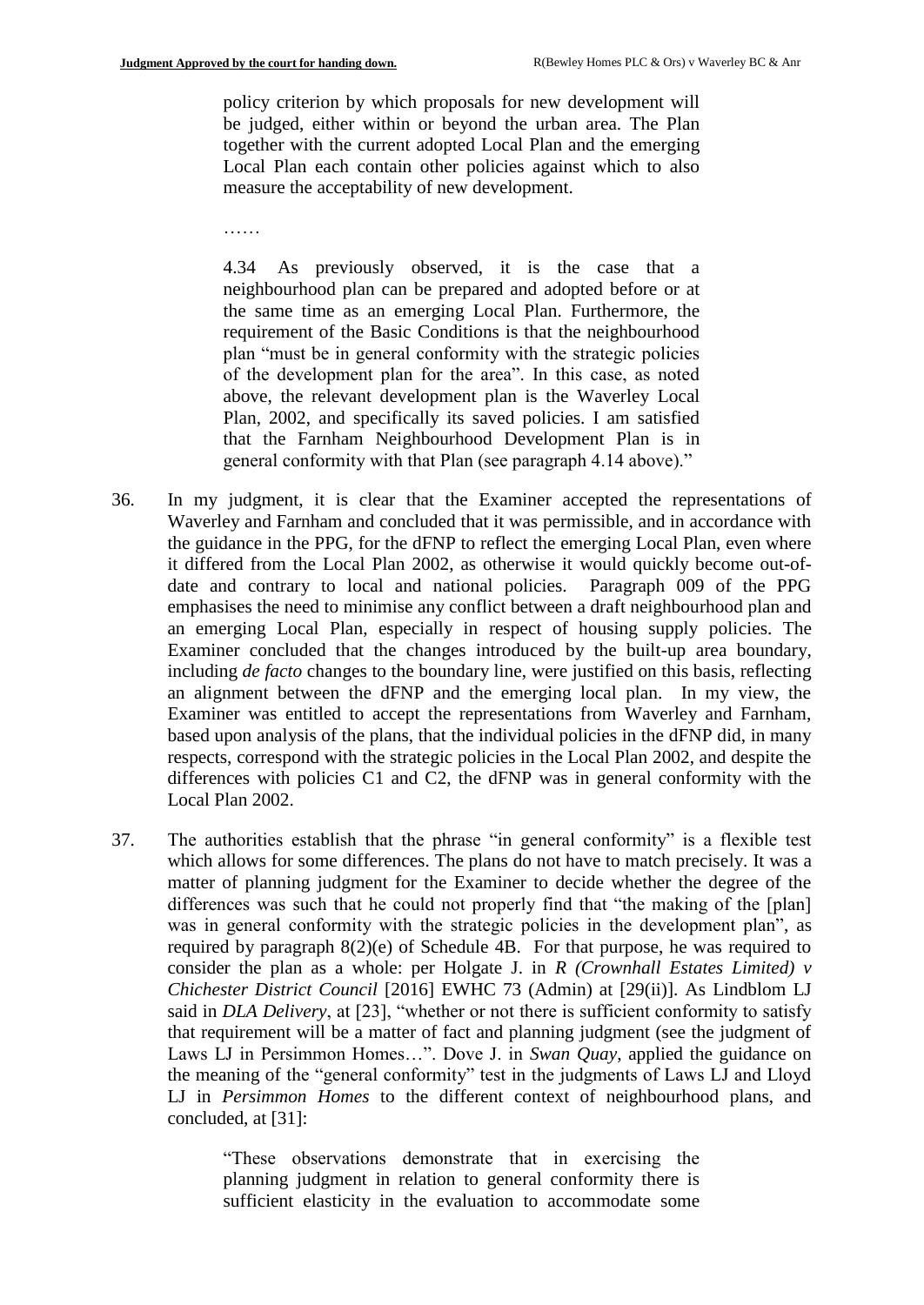policy criterion by which proposals for new development will be judged, either within or beyond the urban area. The Plan together with the current adopted Local Plan and the emerging Local Plan each contain other policies against which to also measure the acceptability of new development.

……

4.34 As previously observed, it is the case that a neighbourhood plan can be prepared and adopted before or at the same time as an emerging Local Plan. Furthermore, the requirement of the Basic Conditions is that the neighbourhood plan "must be in general conformity with the strategic policies of the development plan for the area". In this case, as noted above, the relevant development plan is the Waverley Local Plan, 2002, and specifically its saved policies. I am satisfied that the Farnham Neighbourhood Development Plan is in general conformity with that Plan (see paragraph 4.14 above)."

- 36. In my judgment, it is clear that the Examiner accepted the representations of Waverley and Farnham and concluded that it was permissible, and in accordance with the guidance in the PPG, for the dFNP to reflect the emerging Local Plan, even where it differed from the Local Plan 2002, as otherwise it would quickly become out-ofdate and contrary to local and national policies. Paragraph 009 of the PPG emphasises the need to minimise any conflict between a draft neighbourhood plan and an emerging Local Plan, especially in respect of housing supply policies. The Examiner concluded that the changes introduced by the built-up area boundary, including *de facto* changes to the boundary line, were justified on this basis, reflecting an alignment between the dFNP and the emerging local plan. In my view, the Examiner was entitled to accept the representations from Waverley and Farnham, based upon analysis of the plans, that the individual policies in the dFNP did, in many respects, correspond with the strategic policies in the Local Plan 2002, and despite the differences with policies C1 and C2, the dFNP was in general conformity with the Local Plan 2002.
- 37. The authorities establish that the phrase "in general conformity" is a flexible test which allows for some differences. The plans do not have to match precisely. It was a matter of planning judgment for the Examiner to decide whether the degree of the differences was such that he could not properly find that "the making of the [plan] was in general conformity with the strategic policies in the development plan", as required by paragraph 8(2)(e) of Schedule 4B. For that purpose, he was required to consider the plan as a whole: per Holgate J. in *R (Crownhall Estates Limited) v Chichester District Council* [2016] EWHC 73 (Admin) at [29(ii)]. As Lindblom LJ said in *DLA Delivery*, at [23], "whether or not there is sufficient conformity to satisfy that requirement will be a matter of fact and planning judgment (see the judgment of Laws LJ in Persimmon Homes…". Dove J. in *Swan Quay*, applied the guidance on the meaning of the "general conformity" test in the judgments of Laws LJ and Lloyd LJ in *Persimmon Homes* to the different context of neighbourhood plans, and concluded, at [31]:

"These observations demonstrate that in exercising the planning judgment in relation to general conformity there is sufficient elasticity in the evaluation to accommodate some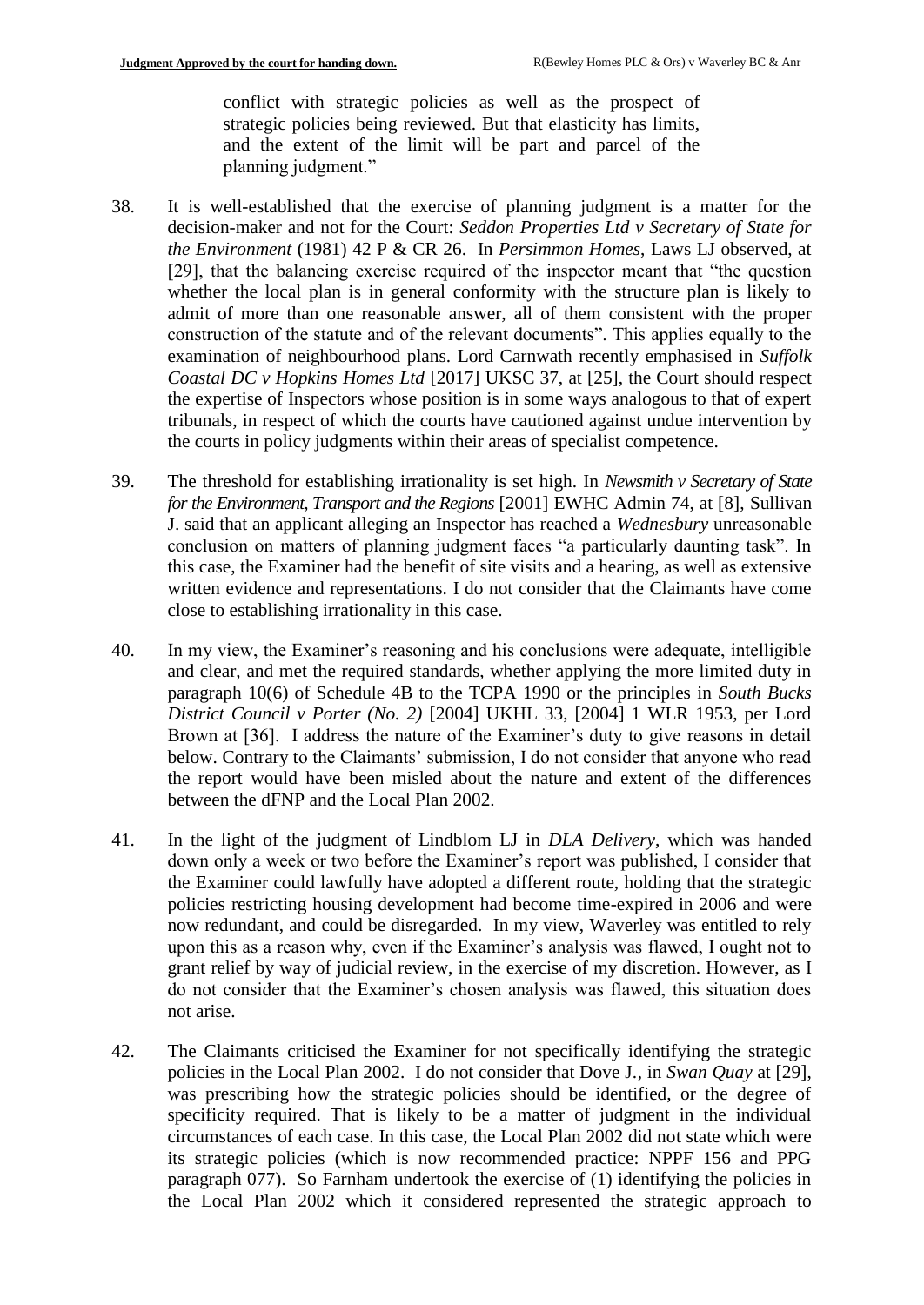conflict with strategic policies as well as the prospect of strategic policies being reviewed. But that elasticity has limits, and the extent of the limit will be part and parcel of the planning judgment."

- 38. It is well-established that the exercise of planning judgment is a matter for the decision-maker and not for the Court: *Seddon Properties Ltd v Secretary of State for the Environment* (1981) 42 P & CR 26. In *Persimmon Homes*, Laws LJ observed, at [29], that the balancing exercise required of the inspector meant that "the question whether the local plan is in general conformity with the structure plan is likely to admit of more than one reasonable answer, all of them consistent with the proper construction of the statute and of the relevant documents". This applies equally to the examination of neighbourhood plans. Lord Carnwath recently emphasised in *Suffolk Coastal DC v Hopkins Homes Ltd* [2017] UKSC 37, at [25], the Court should respect the expertise of Inspectors whose position is in some ways analogous to that of expert tribunals, in respect of which the courts have cautioned against undue intervention by the courts in policy judgments within their areas of specialist competence.
- 39. The threshold for establishing irrationality is set high. In *Newsmith v Secretary of State for the Environment, Transport and the Regions* [2001] EWHC Admin 74, at [8], Sullivan J. said that an applicant alleging an Inspector has reached a *Wednesbury* unreasonable conclusion on matters of planning judgment faces "a particularly daunting task". In this case, the Examiner had the benefit of site visits and a hearing, as well as extensive written evidence and representations. I do not consider that the Claimants have come close to establishing irrationality in this case.
- 40. In my view, the Examiner's reasoning and his conclusions were adequate, intelligible and clear, and met the required standards, whether applying the more limited duty in paragraph 10(6) of Schedule 4B to the TCPA 1990 or the principles in *South Bucks District Council v Porter (No. 2)* [2004] UKHL 33, [2004] 1 WLR 1953, per Lord Brown at [36]. I address the nature of the Examiner's duty to give reasons in detail below. Contrary to the Claimants' submission, I do not consider that anyone who read the report would have been misled about the nature and extent of the differences between the dFNP and the Local Plan 2002.
- 41. In the light of the judgment of Lindblom LJ in *DLA Delivery*, which was handed down only a week or two before the Examiner's report was published, I consider that the Examiner could lawfully have adopted a different route, holding that the strategic policies restricting housing development had become time-expired in 2006 and were now redundant, and could be disregarded. In my view, Waverley was entitled to rely upon this as a reason why, even if the Examiner's analysis was flawed, I ought not to grant relief by way of judicial review, in the exercise of my discretion. However, as I do not consider that the Examiner's chosen analysis was flawed, this situation does not arise.
- 42. The Claimants criticised the Examiner for not specifically identifying the strategic policies in the Local Plan 2002. I do not consider that Dove J., in *Swan Quay* at [29], was prescribing how the strategic policies should be identified, or the degree of specificity required. That is likely to be a matter of judgment in the individual circumstances of each case. In this case, the Local Plan 2002 did not state which were its strategic policies (which is now recommended practice: NPPF 156 and PPG paragraph 077). So Farnham undertook the exercise of (1) identifying the policies in the Local Plan 2002 which it considered represented the strategic approach to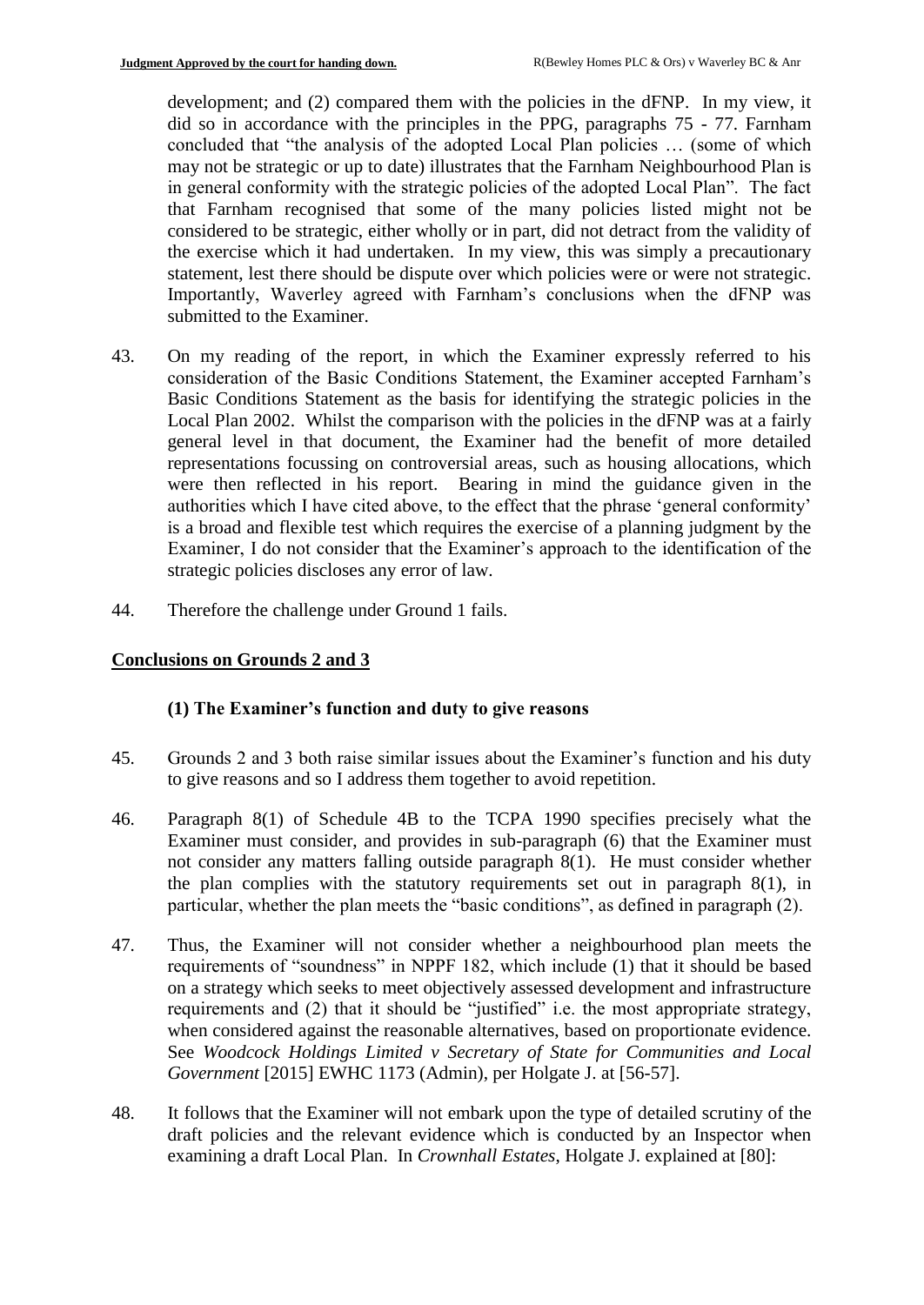development; and (2) compared them with the policies in the dFNP. In my view, it did so in accordance with the principles in the PPG, paragraphs 75 - 77. Farnham concluded that "the analysis of the adopted Local Plan policies … (some of which may not be strategic or up to date) illustrates that the Farnham Neighbourhood Plan is in general conformity with the strategic policies of the adopted Local Plan". The fact that Farnham recognised that some of the many policies listed might not be considered to be strategic, either wholly or in part, did not detract from the validity of the exercise which it had undertaken. In my view, this was simply a precautionary statement, lest there should be dispute over which policies were or were not strategic. Importantly, Waverley agreed with Farnham's conclusions when the dFNP was submitted to the Examiner.

- 43. On my reading of the report, in which the Examiner expressly referred to his consideration of the Basic Conditions Statement, the Examiner accepted Farnham's Basic Conditions Statement as the basis for identifying the strategic policies in the Local Plan 2002. Whilst the comparison with the policies in the dFNP was at a fairly general level in that document, the Examiner had the benefit of more detailed representations focussing on controversial areas, such as housing allocations, which were then reflected in his report. Bearing in mind the guidance given in the authorities which I have cited above, to the effect that the phrase 'general conformity' is a broad and flexible test which requires the exercise of a planning judgment by the Examiner, I do not consider that the Examiner's approach to the identification of the strategic policies discloses any error of law.
- 44. Therefore the challenge under Ground 1 fails.

## **Conclusions on Grounds 2 and 3**

## **(1) The Examiner's function and duty to give reasons**

- 45. Grounds 2 and 3 both raise similar issues about the Examiner's function and his duty to give reasons and so I address them together to avoid repetition.
- 46. Paragraph 8(1) of Schedule 4B to the TCPA 1990 specifies precisely what the Examiner must consider, and provides in sub-paragraph (6) that the Examiner must not consider any matters falling outside paragraph 8(1). He must consider whether the plan complies with the statutory requirements set out in paragraph 8(1), in particular, whether the plan meets the "basic conditions", as defined in paragraph (2).
- 47. Thus, the Examiner will not consider whether a neighbourhood plan meets the requirements of "soundness" in NPPF 182, which include (1) that it should be based on a strategy which seeks to meet objectively assessed development and infrastructure requirements and (2) that it should be "justified" i.e. the most appropriate strategy, when considered against the reasonable alternatives, based on proportionate evidence. See *Woodcock Holdings Limited v Secretary of State for Communities and Local Government* [2015] EWHC 1173 (Admin), per Holgate J. at [56-57].
- 48. It follows that the Examiner will not embark upon the type of detailed scrutiny of the draft policies and the relevant evidence which is conducted by an Inspector when examining a draft Local Plan. In *Crownhall Estates*, Holgate J. explained at [80]: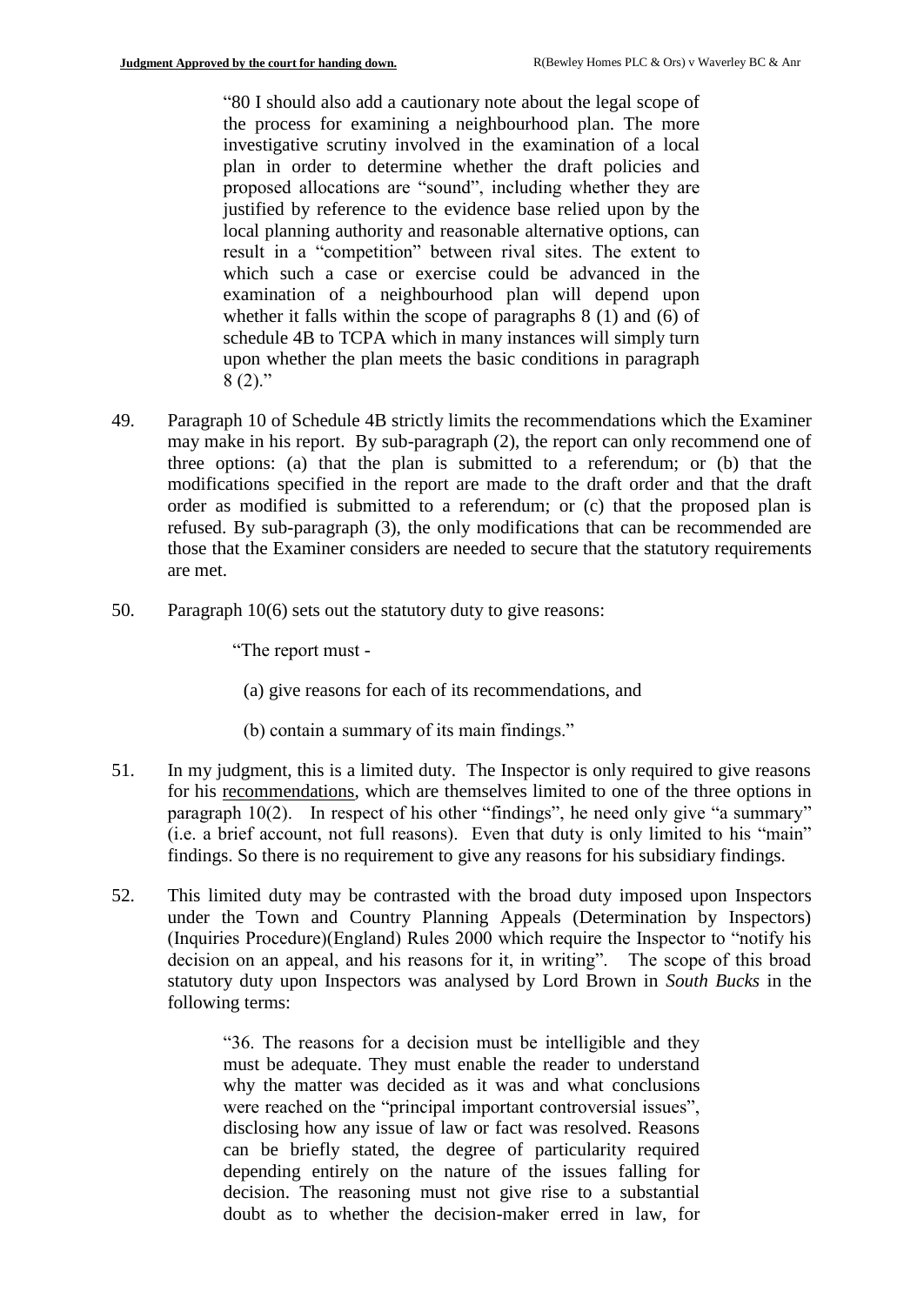"80 I should also add a cautionary note about the legal scope of the process for examining a neighbourhood plan. The more investigative scrutiny involved in the examination of a local plan in order to determine whether the draft policies and proposed allocations are "sound", including whether they are justified by reference to the evidence base relied upon by the local planning authority and reasonable alternative options, can result in a "competition" between rival sites. The extent to which such a case or exercise could be advanced in the examination of a neighbourhood plan will depend upon whether it falls within the scope of paragraphs 8 (1) and (6) of schedule 4B to TCPA which in many instances will simply turn upon whether the plan meets the basic conditions in paragraph  $8(2)$ ."

- 49. Paragraph 10 of Schedule 4B strictly limits the recommendations which the Examiner may make in his report. By sub-paragraph (2), the report can only recommend one of three options: (a) that the plan is submitted to a referendum; or (b) that the modifications specified in the report are made to the draft order and that the draft order as modified is submitted to a referendum; or (c) that the proposed plan is refused. By sub-paragraph (3), the only modifications that can be recommended are those that the Examiner considers are needed to secure that the statutory requirements are met.
- 50. Paragraph 10(6) sets out the statutory duty to give reasons:

"The report must -

(a) give reasons for each of its recommendations, and

(b) contain a summary of its main findings."

- 51. In my judgment, this is a limited duty. The Inspector is only required to give reasons for his recommendations, which are themselves limited to one of the three options in paragraph 10(2). In respect of his other "findings", he need only give "a summary" (i.e. a brief account, not full reasons). Even that duty is only limited to his "main" findings. So there is no requirement to give any reasons for his subsidiary findings.
- 52. This limited duty may be contrasted with the broad duty imposed upon Inspectors under the Town and Country Planning Appeals (Determination by Inspectors) (Inquiries Procedure)(England) Rules 2000 which require the Inspector to "notify his decision on an appeal, and his reasons for it, in writing". The scope of this broad statutory duty upon Inspectors was analysed by Lord Brown in *South Bucks* in the following terms:

"36. The reasons for a decision must be intelligible and they must be adequate. They must enable the reader to understand why the matter was decided as it was and what conclusions were reached on the "principal important controversial issues", disclosing how any issue of law or fact was resolved. Reasons can be briefly stated, the degree of particularity required depending entirely on the nature of the issues falling for decision. The reasoning must not give rise to a substantial doubt as to whether the decision-maker erred in law, for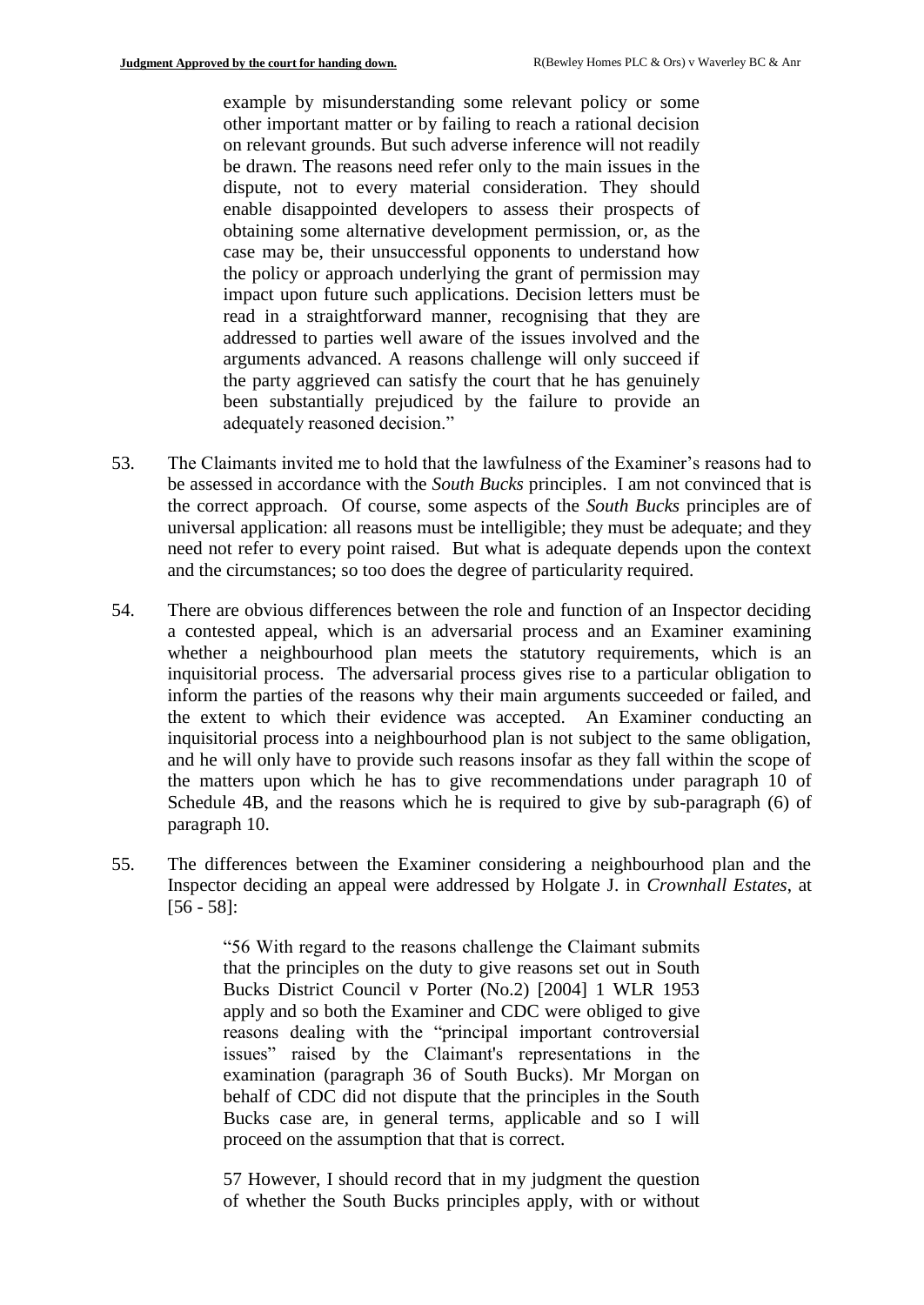example by misunderstanding some relevant policy or some other important matter or by failing to reach a rational decision on relevant grounds. But such adverse inference will not readily be drawn. The reasons need refer only to the main issues in the dispute, not to every material consideration. They should enable disappointed developers to assess their prospects of obtaining some alternative development permission, or, as the case may be, their unsuccessful opponents to understand how the policy or approach underlying the grant of permission may impact upon future such applications. Decision letters must be read in a straightforward manner, recognising that they are addressed to parties well aware of the issues involved and the arguments advanced. A reasons challenge will only succeed if the party aggrieved can satisfy the court that he has genuinely been substantially prejudiced by the failure to provide an adequately reasoned decision."

- 53. The Claimants invited me to hold that the lawfulness of the Examiner's reasons had to be assessed in accordance with the *South Bucks* principles. I am not convinced that is the correct approach. Of course, some aspects of the *South Bucks* principles are of universal application: all reasons must be intelligible; they must be adequate; and they need not refer to every point raised. But what is adequate depends upon the context and the circumstances; so too does the degree of particularity required.
- 54. There are obvious differences between the role and function of an Inspector deciding a contested appeal, which is an adversarial process and an Examiner examining whether a neighbourhood plan meets the statutory requirements, which is an inquisitorial process. The adversarial process gives rise to a particular obligation to inform the parties of the reasons why their main arguments succeeded or failed, and the extent to which their evidence was accepted. An Examiner conducting an inquisitorial process into a neighbourhood plan is not subject to the same obligation, and he will only have to provide such reasons insofar as they fall within the scope of the matters upon which he has to give recommendations under paragraph 10 of Schedule 4B, and the reasons which he is required to give by sub-paragraph (6) of paragraph 10.
- 55. The differences between the Examiner considering a neighbourhood plan and the Inspector deciding an appeal were addressed by Holgate J. in *Crownhall Estates*, at [56 - 58]:

"56 With regard to the reasons challenge the Claimant submits that the principles on the duty to give reasons set out in South Bucks District Council v Porter (No.2) [2004] 1 WLR 1953 apply and so both the Examiner and CDC were obliged to give reasons dealing with the "principal important controversial issues" raised by the Claimant's representations in the examination (paragraph 36 of South Bucks). Mr Morgan on behalf of CDC did not dispute that the principles in the South Bucks case are, in general terms, applicable and so I will proceed on the assumption that that is correct.

57 However, I should record that in my judgment the question of whether the South Bucks principles apply, with or without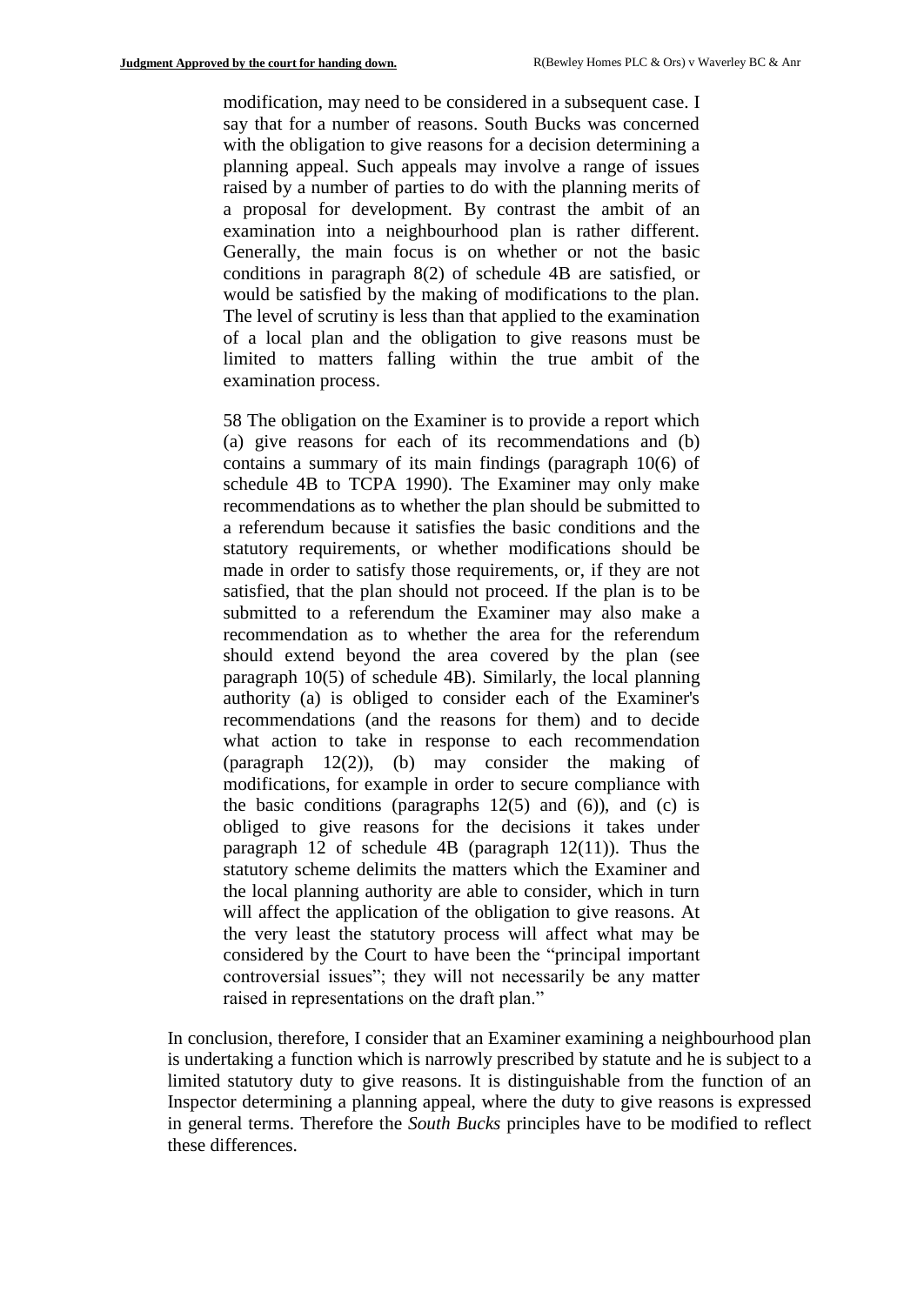modification, may need to be considered in a subsequent case. I say that for a number of reasons. South Bucks was concerned with the obligation to give reasons for a decision determining a planning appeal. Such appeals may involve a range of issues raised by a number of parties to do with the planning merits of a proposal for development. By contrast the ambit of an examination into a neighbourhood plan is rather different. Generally, the main focus is on whether or not the basic conditions in paragraph 8(2) of schedule 4B are satisfied, or would be satisfied by the making of modifications to the plan. The level of scrutiny is less than that applied to the examination of a local plan and the obligation to give reasons must be limited to matters falling within the true ambit of the examination process.

58 The obligation on the Examiner is to provide a report which (a) give reasons for each of its recommendations and (b) contains a summary of its main findings (paragraph 10(6) of schedule 4B to TCPA 1990). The Examiner may only make recommendations as to whether the plan should be submitted to a referendum because it satisfies the basic conditions and the statutory requirements, or whether modifications should be made in order to satisfy those requirements, or, if they are not satisfied, that the plan should not proceed. If the plan is to be submitted to a referendum the Examiner may also make a recommendation as to whether the area for the referendum should extend beyond the area covered by the plan (see paragraph 10(5) of schedule 4B). Similarly, the local planning authority (a) is obliged to consider each of the Examiner's recommendations (and the reasons for them) and to decide what action to take in response to each recommendation (paragraph 12(2)), (b) may consider the making of modifications, for example in order to secure compliance with the basic conditions (paragraphs  $12(5)$  and  $(6)$ ), and  $(c)$  is obliged to give reasons for the decisions it takes under paragraph 12 of schedule 4B (paragraph 12(11)). Thus the statutory scheme delimits the matters which the Examiner and the local planning authority are able to consider, which in turn will affect the application of the obligation to give reasons. At the very least the statutory process will affect what may be considered by the Court to have been the "principal important controversial issues"; they will not necessarily be any matter raised in representations on the draft plan."

In conclusion, therefore, I consider that an Examiner examining a neighbourhood plan is undertaking a function which is narrowly prescribed by statute and he is subject to a limited statutory duty to give reasons. It is distinguishable from the function of an Inspector determining a planning appeal, where the duty to give reasons is expressed in general terms. Therefore the *South Bucks* principles have to be modified to reflect these differences.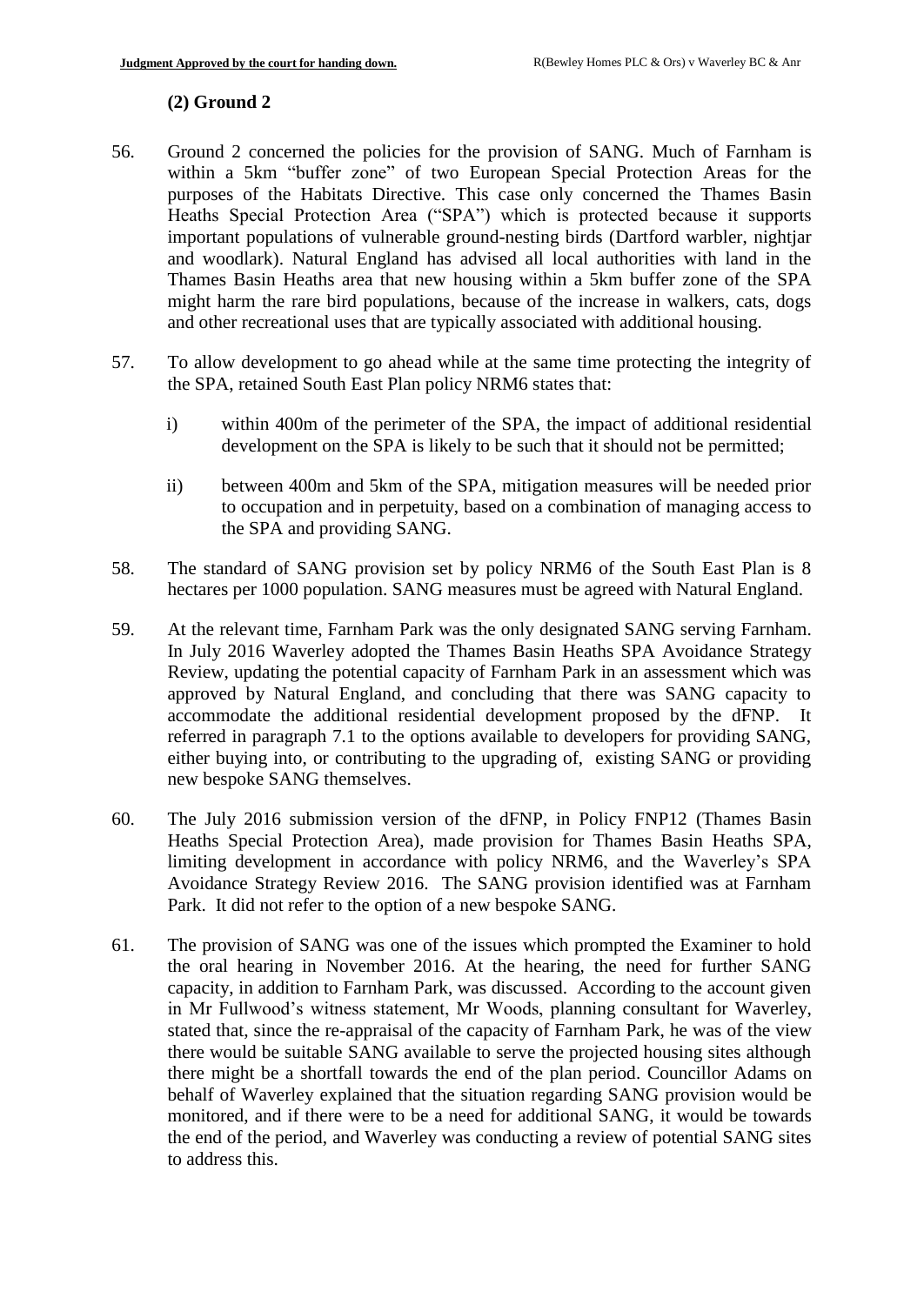## **(2) Ground 2**

- 56. Ground 2 concerned the policies for the provision of SANG. Much of Farnham is within a 5km "buffer zone" of two European Special Protection Areas for the purposes of the Habitats Directive. This case only concerned the Thames Basin Heaths Special Protection Area ("SPA") which is protected because it supports important populations of vulnerable ground-nesting birds (Dartford warbler, nightjar and woodlark). Natural England has advised all local authorities with land in the Thames Basin Heaths area that new housing within a 5km buffer zone of the SPA might harm the rare bird populations, because of the increase in walkers, cats, dogs and other recreational uses that are typically associated with additional housing.
- 57. To allow development to go ahead while at the same time protecting the integrity of the SPA, retained South East Plan policy NRM6 states that:
	- i) within 400m of the perimeter of the SPA, the impact of additional residential development on the SPA is likely to be such that it should not be permitted;
	- ii) between 400m and 5km of the SPA, mitigation measures will be needed prior to occupation and in perpetuity, based on a combination of managing access to the SPA and providing SANG.
- 58. The standard of SANG provision set by policy NRM6 of the South East Plan is 8 hectares per 1000 population. SANG measures must be agreed with Natural England.
- 59. At the relevant time, Farnham Park was the only designated SANG serving Farnham. In July 2016 Waverley adopted the Thames Basin Heaths SPA Avoidance Strategy Review, updating the potential capacity of Farnham Park in an assessment which was approved by Natural England, and concluding that there was SANG capacity to accommodate the additional residential development proposed by the dFNP. It referred in paragraph 7.1 to the options available to developers for providing SANG, either buying into, or contributing to the upgrading of, existing SANG or providing new bespoke SANG themselves.
- 60. The July 2016 submission version of the dFNP, in Policy FNP12 (Thames Basin Heaths Special Protection Area), made provision for Thames Basin Heaths SPA, limiting development in accordance with policy NRM6, and the Waverley's SPA Avoidance Strategy Review 2016. The SANG provision identified was at Farnham Park. It did not refer to the option of a new bespoke SANG.
- 61. The provision of SANG was one of the issues which prompted the Examiner to hold the oral hearing in November 2016. At the hearing, the need for further SANG capacity, in addition to Farnham Park, was discussed. According to the account given in Mr Fullwood's witness statement, Mr Woods, planning consultant for Waverley, stated that, since the re-appraisal of the capacity of Farnham Park, he was of the view there would be suitable SANG available to serve the projected housing sites although there might be a shortfall towards the end of the plan period. Councillor Adams on behalf of Waverley explained that the situation regarding SANG provision would be monitored, and if there were to be a need for additional SANG, it would be towards the end of the period, and Waverley was conducting a review of potential SANG sites to address this.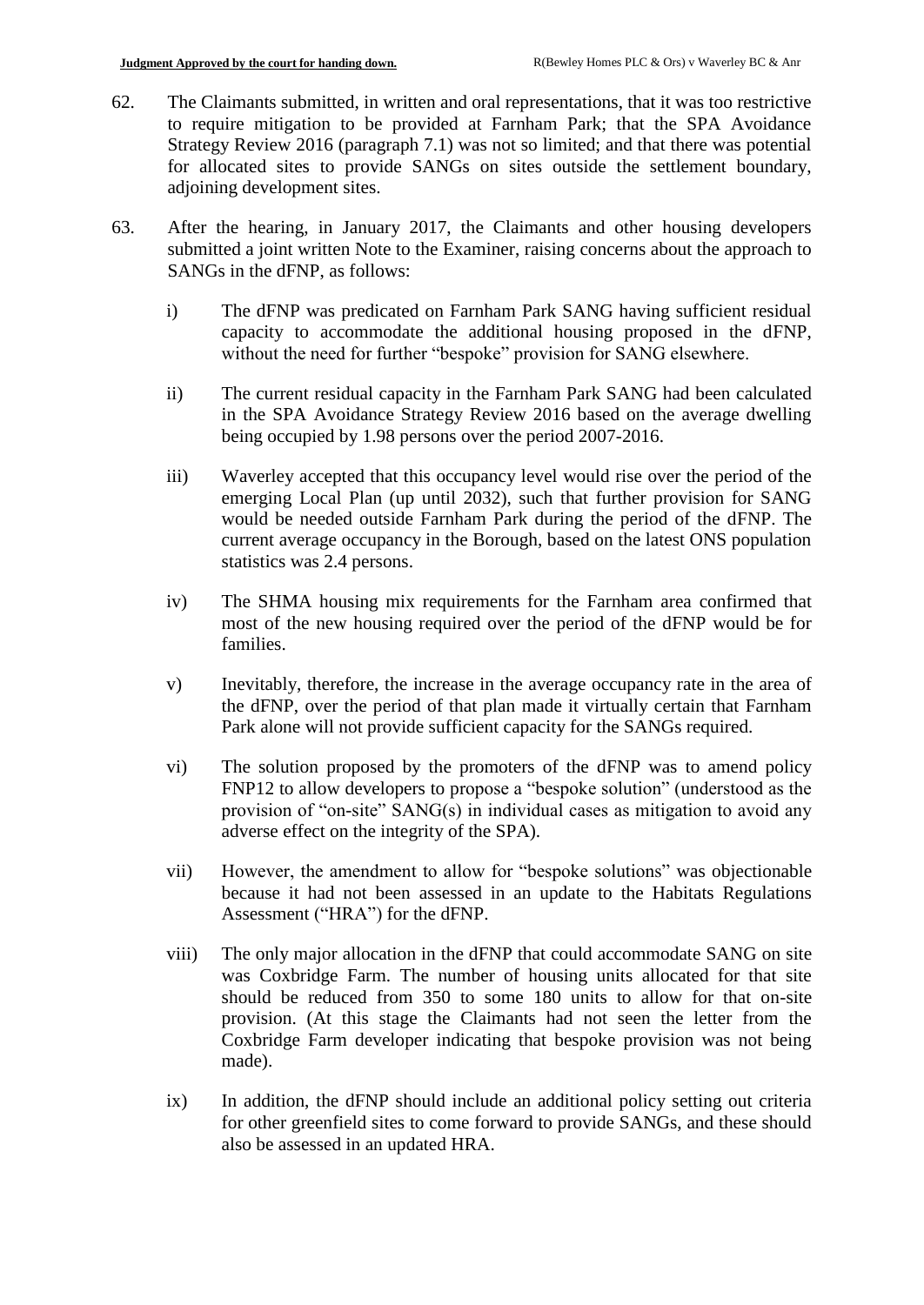- 62. The Claimants submitted, in written and oral representations, that it was too restrictive to require mitigation to be provided at Farnham Park; that the SPA Avoidance Strategy Review 2016 (paragraph 7.1) was not so limited; and that there was potential for allocated sites to provide SANGs on sites outside the settlement boundary, adjoining development sites.
- 63. After the hearing, in January 2017, the Claimants and other housing developers submitted a joint written Note to the Examiner, raising concerns about the approach to SANGs in the dFNP, as follows:
	- i) The dFNP was predicated on Farnham Park SANG having sufficient residual capacity to accommodate the additional housing proposed in the dFNP, without the need for further "bespoke" provision for SANG elsewhere.
	- ii) The current residual capacity in the Farnham Park SANG had been calculated in the SPA Avoidance Strategy Review 2016 based on the average dwelling being occupied by 1.98 persons over the period 2007-2016.
	- iii) Waverley accepted that this occupancy level would rise over the period of the emerging Local Plan (up until 2032), such that further provision for SANG would be needed outside Farnham Park during the period of the dFNP. The current average occupancy in the Borough, based on the latest ONS population statistics was 2.4 persons.
	- iv) The SHMA housing mix requirements for the Farnham area confirmed that most of the new housing required over the period of the dFNP would be for families.
	- v) Inevitably, therefore, the increase in the average occupancy rate in the area of the dFNP, over the period of that plan made it virtually certain that Farnham Park alone will not provide sufficient capacity for the SANGs required.
	- vi) The solution proposed by the promoters of the dFNP was to amend policy FNP12 to allow developers to propose a "bespoke solution" (understood as the provision of "on-site" SANG(s) in individual cases as mitigation to avoid any adverse effect on the integrity of the SPA).
	- vii) However, the amendment to allow for "bespoke solutions" was objectionable because it had not been assessed in an update to the Habitats Regulations Assessment ("HRA") for the dFNP.
	- viii) The only major allocation in the dFNP that could accommodate SANG on site was Coxbridge Farm. The number of housing units allocated for that site should be reduced from 350 to some 180 units to allow for that on-site provision. (At this stage the Claimants had not seen the letter from the Coxbridge Farm developer indicating that bespoke provision was not being made).
	- ix) In addition, the dFNP should include an additional policy setting out criteria for other greenfield sites to come forward to provide SANGs, and these should also be assessed in an updated HRA.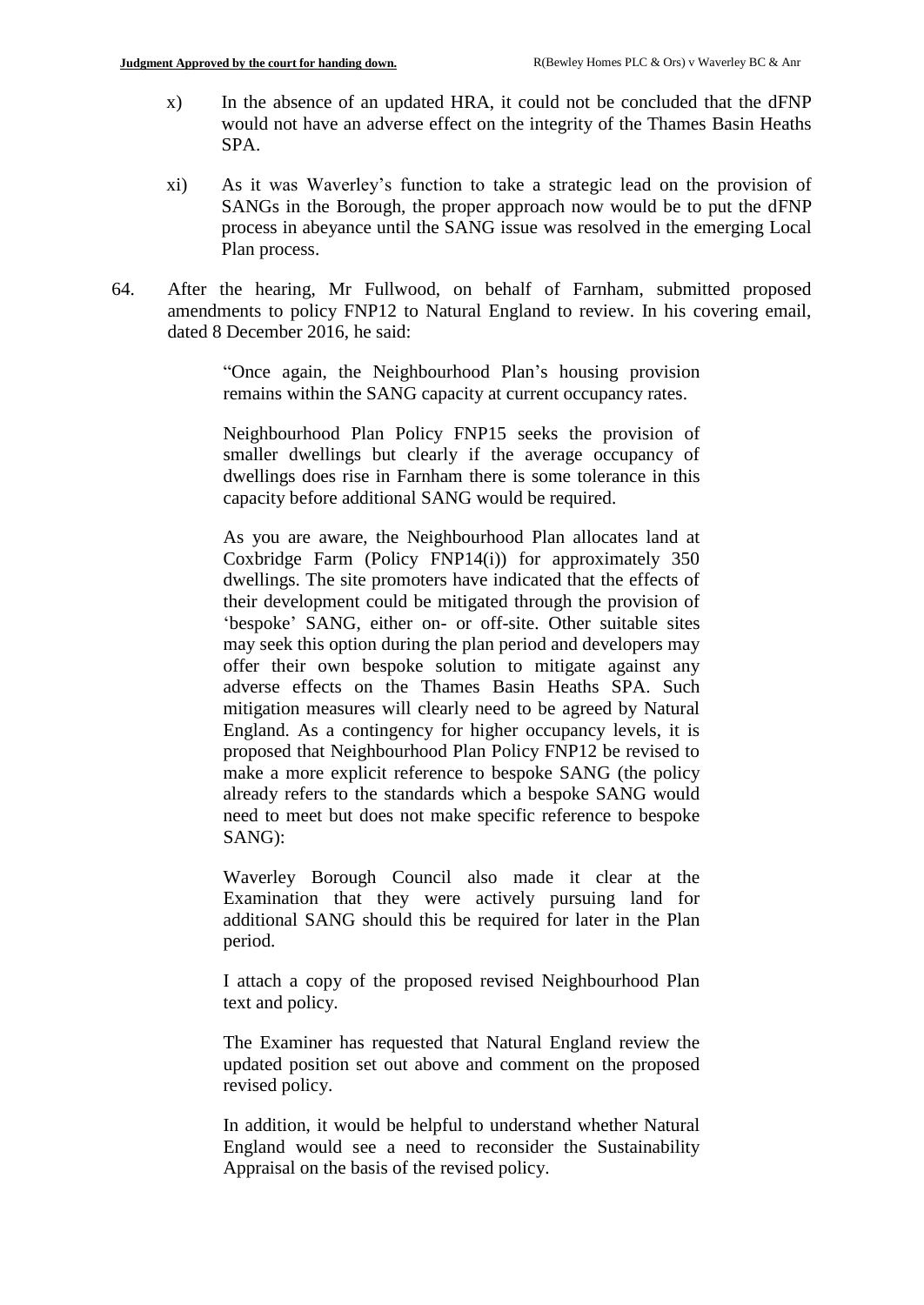- x) In the absence of an updated HRA, it could not be concluded that the dFNP would not have an adverse effect on the integrity of the Thames Basin Heaths SPA.
- xi) As it was Waverley's function to take a strategic lead on the provision of SANGs in the Borough, the proper approach now would be to put the dFNP process in abeyance until the SANG issue was resolved in the emerging Local Plan process.
- 64. After the hearing, Mr Fullwood, on behalf of Farnham, submitted proposed amendments to policy FNP12 to Natural England to review. In his covering email, dated 8 December 2016, he said:

"Once again, the Neighbourhood Plan's housing provision remains within the SANG capacity at current occupancy rates.

Neighbourhood Plan Policy FNP15 seeks the provision of smaller dwellings but clearly if the average occupancy of dwellings does rise in Farnham there is some tolerance in this capacity before additional SANG would be required.

As you are aware, the Neighbourhood Plan allocates land at Coxbridge Farm (Policy FNP14(i)) for approximately 350 dwellings. The site promoters have indicated that the effects of their development could be mitigated through the provision of 'bespoke' SANG, either on- or off-site. Other suitable sites may seek this option during the plan period and developers may offer their own bespoke solution to mitigate against any adverse effects on the Thames Basin Heaths SPA. Such mitigation measures will clearly need to be agreed by Natural England. As a contingency for higher occupancy levels, it is proposed that Neighbourhood Plan Policy FNP12 be revised to make a more explicit reference to bespoke SANG (the policy already refers to the standards which a bespoke SANG would need to meet but does not make specific reference to bespoke SANG):

Waverley Borough Council also made it clear at the Examination that they were actively pursuing land for additional SANG should this be required for later in the Plan period.

I attach a copy of the proposed revised Neighbourhood Plan text and policy.

The Examiner has requested that Natural England review the updated position set out above and comment on the proposed revised policy.

In addition, it would be helpful to understand whether Natural England would see a need to reconsider the Sustainability Appraisal on the basis of the revised policy.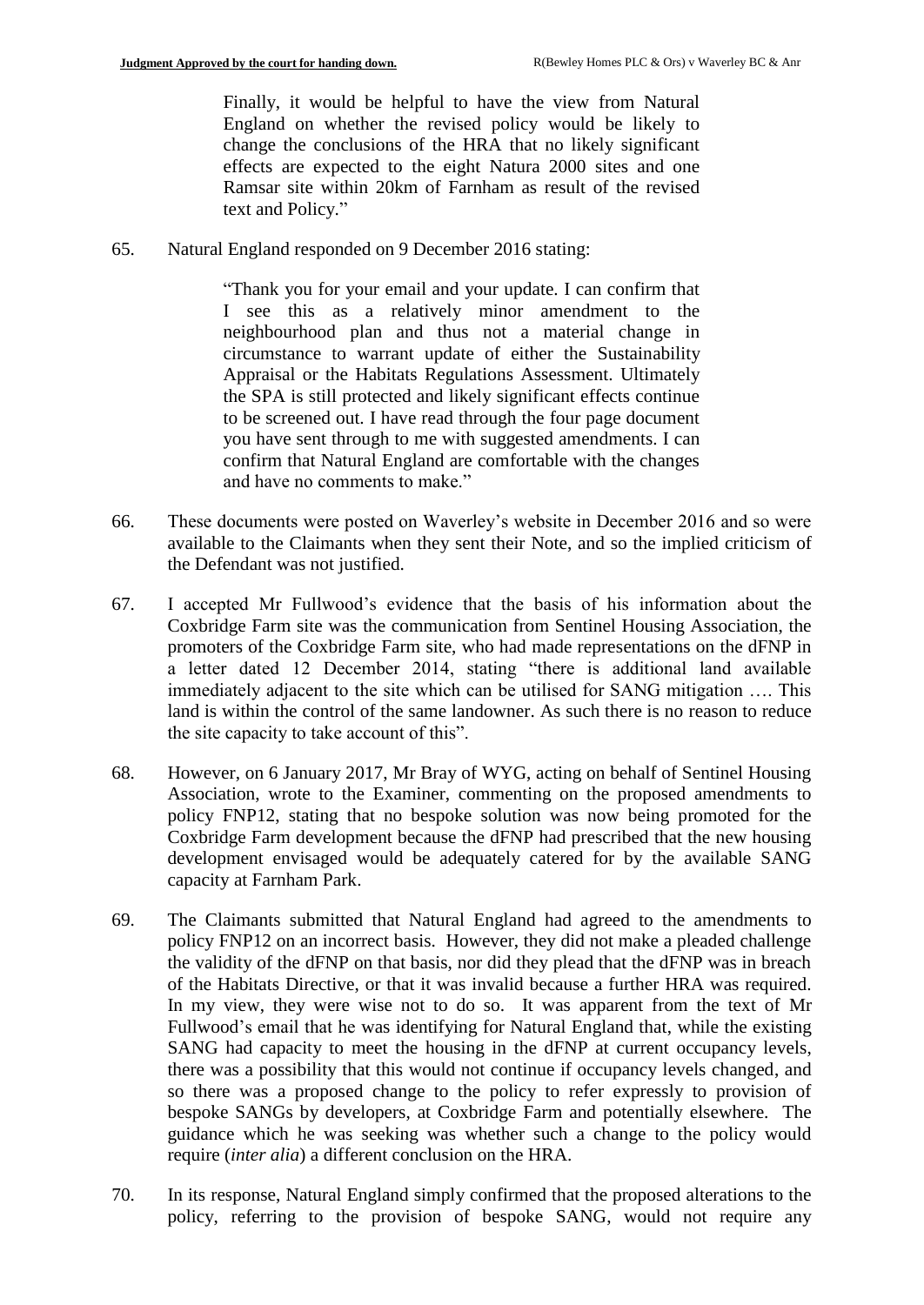Finally, it would be helpful to have the view from Natural England on whether the revised policy would be likely to change the conclusions of the HRA that no likely significant effects are expected to the eight Natura 2000 sites and one Ramsar site within 20km of Farnham as result of the revised text and Policy."

65. Natural England responded on 9 December 2016 stating:

"Thank you for your email and your update. I can confirm that I see this as a relatively minor amendment to the neighbourhood plan and thus not a material change in circumstance to warrant update of either the Sustainability Appraisal or the Habitats Regulations Assessment. Ultimately the SPA is still protected and likely significant effects continue to be screened out. I have read through the four page document you have sent through to me with suggested amendments. I can confirm that Natural England are comfortable with the changes and have no comments to make."

- 66. These documents were posted on Waverley's website in December 2016 and so were available to the Claimants when they sent their Note, and so the implied criticism of the Defendant was not justified.
- 67. I accepted Mr Fullwood's evidence that the basis of his information about the Coxbridge Farm site was the communication from Sentinel Housing Association, the promoters of the Coxbridge Farm site, who had made representations on the dFNP in a letter dated 12 December 2014, stating "there is additional land available immediately adjacent to the site which can be utilised for SANG mitigation …. This land is within the control of the same landowner. As such there is no reason to reduce the site capacity to take account of this".
- 68. However, on 6 January 2017, Mr Bray of WYG, acting on behalf of Sentinel Housing Association, wrote to the Examiner, commenting on the proposed amendments to policy FNP12, stating that no bespoke solution was now being promoted for the Coxbridge Farm development because the dFNP had prescribed that the new housing development envisaged would be adequately catered for by the available SANG capacity at Farnham Park.
- 69. The Claimants submitted that Natural England had agreed to the amendments to policy FNP12 on an incorrect basis. However, they did not make a pleaded challenge the validity of the dFNP on that basis, nor did they plead that the dFNP was in breach of the Habitats Directive, or that it was invalid because a further HRA was required. In my view, they were wise not to do so. It was apparent from the text of Mr Fullwood's email that he was identifying for Natural England that, while the existing SANG had capacity to meet the housing in the dFNP at current occupancy levels, there was a possibility that this would not continue if occupancy levels changed, and so there was a proposed change to the policy to refer expressly to provision of bespoke SANGs by developers, at Coxbridge Farm and potentially elsewhere. The guidance which he was seeking was whether such a change to the policy would require (*inter alia*) a different conclusion on the HRA.
- 70. In its response, Natural England simply confirmed that the proposed alterations to the policy, referring to the provision of bespoke SANG, would not require any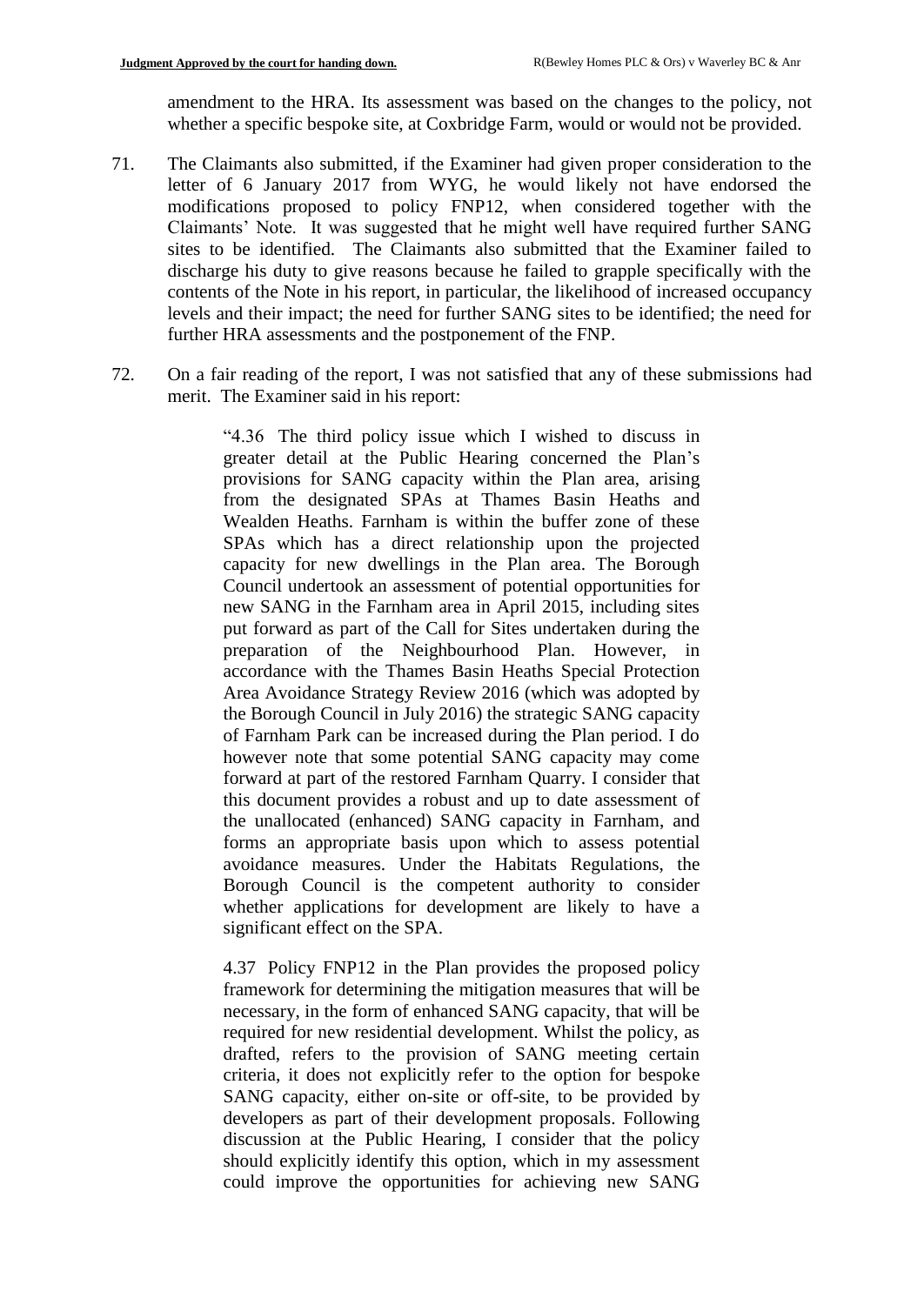amendment to the HRA. Its assessment was based on the changes to the policy, not whether a specific bespoke site, at Coxbridge Farm, would or would not be provided.

- 71. The Claimants also submitted, if the Examiner had given proper consideration to the letter of 6 January 2017 from WYG, he would likely not have endorsed the modifications proposed to policy FNP12, when considered together with the Claimants' Note. It was suggested that he might well have required further SANG sites to be identified. The Claimants also submitted that the Examiner failed to discharge his duty to give reasons because he failed to grapple specifically with the contents of the Note in his report, in particular, the likelihood of increased occupancy levels and their impact; the need for further SANG sites to be identified; the need for further HRA assessments and the postponement of the FNP.
- 72. On a fair reading of the report, I was not satisfied that any of these submissions had merit. The Examiner said in his report:

"4.36 The third policy issue which I wished to discuss in greater detail at the Public Hearing concerned the Plan's provisions for SANG capacity within the Plan area, arising from the designated SPAs at Thames Basin Heaths and Wealden Heaths. Farnham is within the buffer zone of these SPAs which has a direct relationship upon the projected capacity for new dwellings in the Plan area. The Borough Council undertook an assessment of potential opportunities for new SANG in the Farnham area in April 2015, including sites put forward as part of the Call for Sites undertaken during the preparation of the Neighbourhood Plan. However, in accordance with the Thames Basin Heaths Special Protection Area Avoidance Strategy Review 2016 (which was adopted by the Borough Council in July 2016) the strategic SANG capacity of Farnham Park can be increased during the Plan period. I do however note that some potential SANG capacity may come forward at part of the restored Farnham Quarry. I consider that this document provides a robust and up to date assessment of the unallocated (enhanced) SANG capacity in Farnham, and forms an appropriate basis upon which to assess potential avoidance measures. Under the Habitats Regulations, the Borough Council is the competent authority to consider whether applications for development are likely to have a significant effect on the SPA.

4.37 Policy FNP12 in the Plan provides the proposed policy framework for determining the mitigation measures that will be necessary, in the form of enhanced SANG capacity, that will be required for new residential development. Whilst the policy, as drafted, refers to the provision of SANG meeting certain criteria, it does not explicitly refer to the option for bespoke SANG capacity, either on-site or off-site, to be provided by developers as part of their development proposals. Following discussion at the Public Hearing, I consider that the policy should explicitly identify this option, which in my assessment could improve the opportunities for achieving new SANG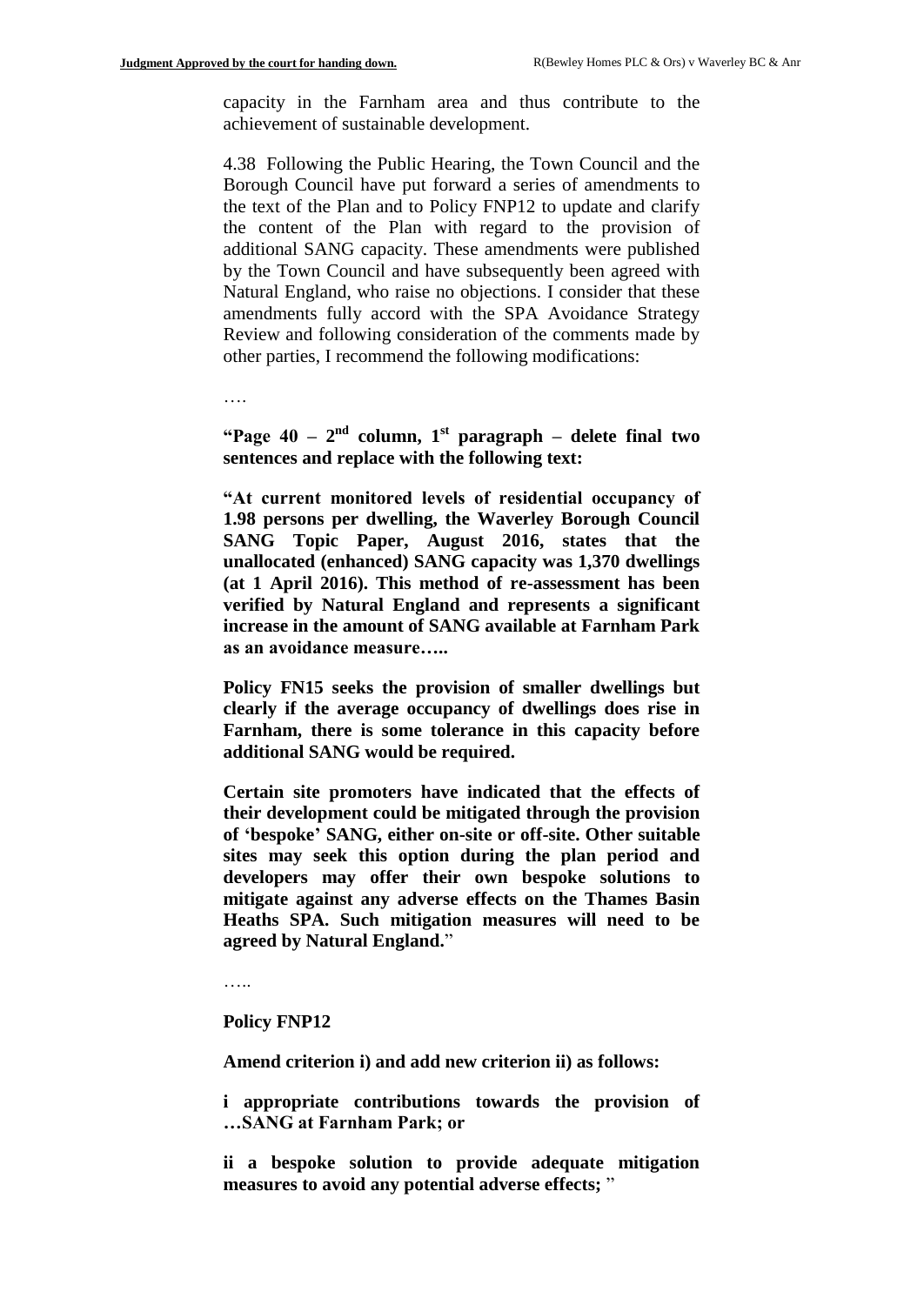capacity in the Farnham area and thus contribute to the achievement of sustainable development.

4.38 Following the Public Hearing, the Town Council and the Borough Council have put forward a series of amendments to the text of the Plan and to Policy FNP12 to update and clarify the content of the Plan with regard to the provision of additional SANG capacity. These amendments were published by the Town Council and have subsequently been agreed with Natural England, who raise no objections. I consider that these amendments fully accord with the SPA Avoidance Strategy Review and following consideration of the comments made by other parties, I recommend the following modifications:

….

**"Page 40 – 2 nd column, 1st paragraph – delete final two sentences and replace with the following text:**

**"At current monitored levels of residential occupancy of 1.98 persons per dwelling, the Waverley Borough Council SANG Topic Paper, August 2016, states that the unallocated (enhanced) SANG capacity was 1,370 dwellings (at 1 April 2016). This method of re-assessment has been verified by Natural England and represents a significant increase in the amount of SANG available at Farnham Park as an avoidance measure…..**

**Policy FN15 seeks the provision of smaller dwellings but clearly if the average occupancy of dwellings does rise in Farnham, there is some tolerance in this capacity before additional SANG would be required.** 

**Certain site promoters have indicated that the effects of their development could be mitigated through the provision of 'bespoke' SANG, either on-site or off-site. Other suitable sites may seek this option during the plan period and developers may offer their own bespoke solutions to mitigate against any adverse effects on the Thames Basin Heaths SPA. Such mitigation measures will need to be agreed by Natural England.**"

……

#### **Policy FNP12**

**Amend criterion i) and add new criterion ii) as follows:**

**i appropriate contributions towards the provision of …SANG at Farnham Park; or**

**ii a bespoke solution to provide adequate mitigation measures to avoid any potential adverse effects;** "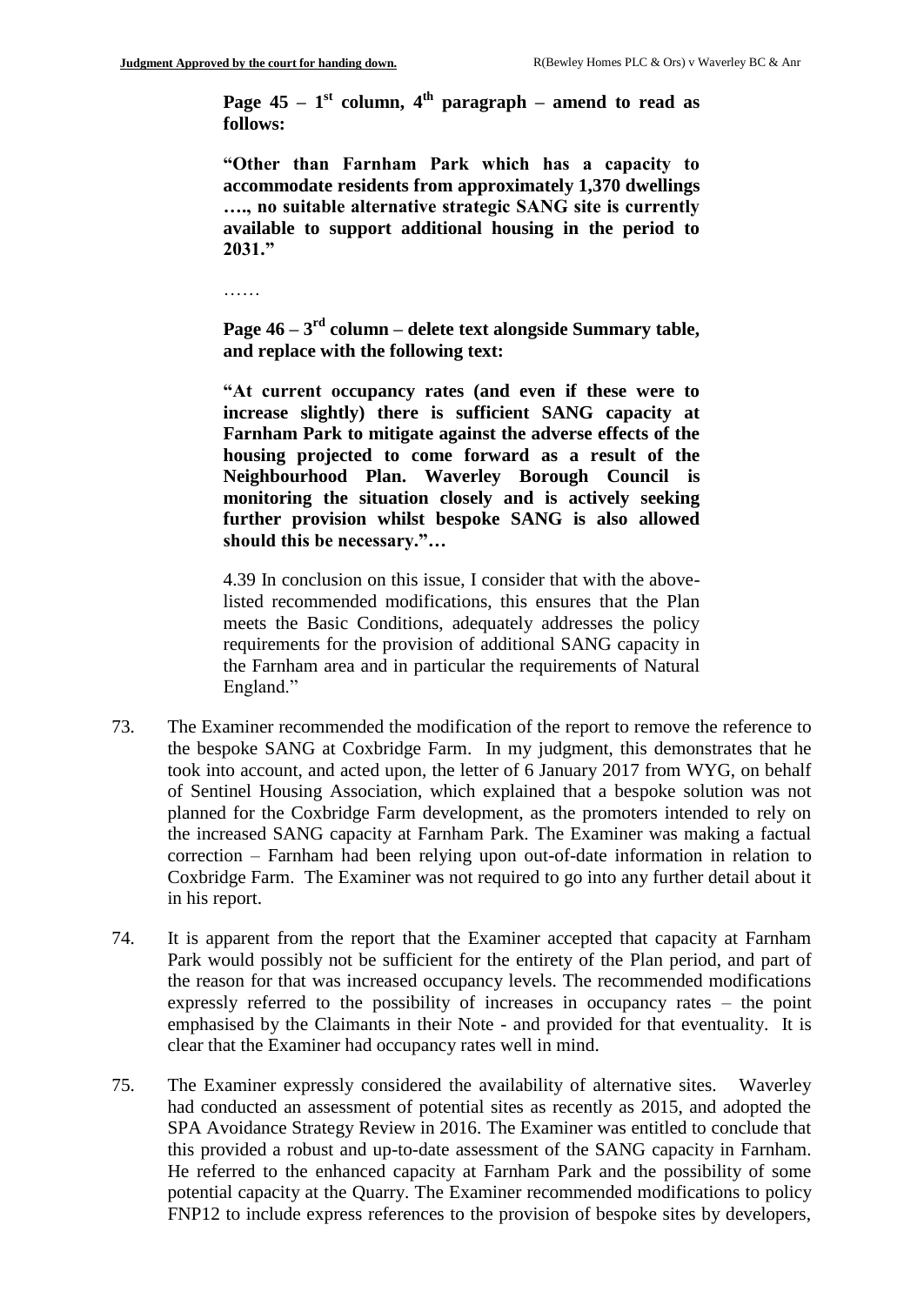**Page 45** –  $1<sup>st</sup>$  column,  $4<sup>th</sup>$  paragraph – amend to read as **follows:**

**"Other than Farnham Park which has a capacity to accommodate residents from approximately 1,370 dwellings …., no suitable alternative strategic SANG site is currently available to support additional housing in the period to 2031."**

………

**Page 46 – 3 rd column – delete text alongside Summary table, and replace with the following text:**

**"At current occupancy rates (and even if these were to increase slightly) there is sufficient SANG capacity at Farnham Park to mitigate against the adverse effects of the housing projected to come forward as a result of the Neighbourhood Plan. Waverley Borough Council is monitoring the situation closely and is actively seeking further provision whilst bespoke SANG is also allowed should this be necessary."…**

4.39 In conclusion on this issue, I consider that with the abovelisted recommended modifications, this ensures that the Plan meets the Basic Conditions, adequately addresses the policy requirements for the provision of additional SANG capacity in the Farnham area and in particular the requirements of Natural England."

- 73. The Examiner recommended the modification of the report to remove the reference to the bespoke SANG at Coxbridge Farm. In my judgment, this demonstrates that he took into account, and acted upon, the letter of 6 January 2017 from WYG, on behalf of Sentinel Housing Association, which explained that a bespoke solution was not planned for the Coxbridge Farm development, as the promoters intended to rely on the increased SANG capacity at Farnham Park. The Examiner was making a factual correction – Farnham had been relying upon out-of-date information in relation to Coxbridge Farm. The Examiner was not required to go into any further detail about it in his report.
- 74. It is apparent from the report that the Examiner accepted that capacity at Farnham Park would possibly not be sufficient for the entirety of the Plan period, and part of the reason for that was increased occupancy levels. The recommended modifications expressly referred to the possibility of increases in occupancy rates – the point emphasised by the Claimants in their Note - and provided for that eventuality. It is clear that the Examiner had occupancy rates well in mind.
- 75. The Examiner expressly considered the availability of alternative sites. Waverley had conducted an assessment of potential sites as recently as 2015, and adopted the SPA Avoidance Strategy Review in 2016. The Examiner was entitled to conclude that this provided a robust and up-to-date assessment of the SANG capacity in Farnham. He referred to the enhanced capacity at Farnham Park and the possibility of some potential capacity at the Quarry. The Examiner recommended modifications to policy FNP12 to include express references to the provision of bespoke sites by developers,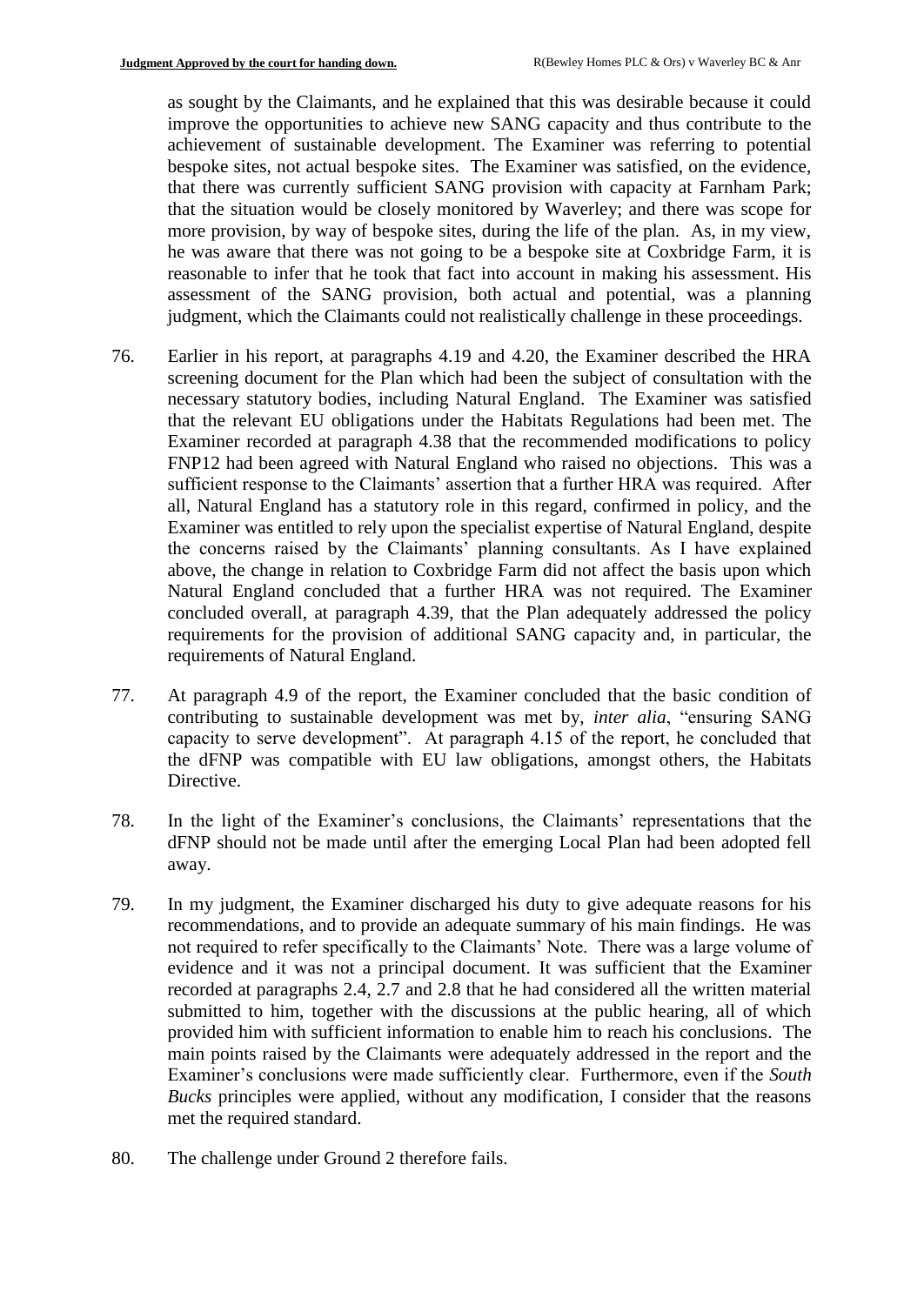as sought by the Claimants, and he explained that this was desirable because it could improve the opportunities to achieve new SANG capacity and thus contribute to the achievement of sustainable development. The Examiner was referring to potential bespoke sites, not actual bespoke sites. The Examiner was satisfied, on the evidence, that there was currently sufficient SANG provision with capacity at Farnham Park; that the situation would be closely monitored by Waverley; and there was scope for more provision, by way of bespoke sites, during the life of the plan. As, in my view, he was aware that there was not going to be a bespoke site at Coxbridge Farm, it is reasonable to infer that he took that fact into account in making his assessment. His assessment of the SANG provision, both actual and potential, was a planning judgment, which the Claimants could not realistically challenge in these proceedings.

- 76. Earlier in his report, at paragraphs 4.19 and 4.20, the Examiner described the HRA screening document for the Plan which had been the subject of consultation with the necessary statutory bodies, including Natural England. The Examiner was satisfied that the relevant EU obligations under the Habitats Regulations had been met. The Examiner recorded at paragraph 4.38 that the recommended modifications to policy FNP12 had been agreed with Natural England who raised no objections. This was a sufficient response to the Claimants' assertion that a further HRA was required. After all, Natural England has a statutory role in this regard, confirmed in policy, and the Examiner was entitled to rely upon the specialist expertise of Natural England, despite the concerns raised by the Claimants' planning consultants. As I have explained above, the change in relation to Coxbridge Farm did not affect the basis upon which Natural England concluded that a further HRA was not required. The Examiner concluded overall, at paragraph 4.39, that the Plan adequately addressed the policy requirements for the provision of additional SANG capacity and, in particular, the requirements of Natural England.
- 77. At paragraph 4.9 of the report, the Examiner concluded that the basic condition of contributing to sustainable development was met by, *inter alia*, "ensuring SANG capacity to serve development". At paragraph 4.15 of the report, he concluded that the dFNP was compatible with EU law obligations, amongst others, the Habitats Directive.
- 78. In the light of the Examiner's conclusions, the Claimants' representations that the dFNP should not be made until after the emerging Local Plan had been adopted fell away.
- 79. In my judgment, the Examiner discharged his duty to give adequate reasons for his recommendations, and to provide an adequate summary of his main findings. He was not required to refer specifically to the Claimants' Note. There was a large volume of evidence and it was not a principal document. It was sufficient that the Examiner recorded at paragraphs 2.4, 2.7 and 2.8 that he had considered all the written material submitted to him, together with the discussions at the public hearing, all of which provided him with sufficient information to enable him to reach his conclusions. The main points raised by the Claimants were adequately addressed in the report and the Examiner's conclusions were made sufficiently clear. Furthermore, even if the *South Bucks* principles were applied, without any modification, I consider that the reasons met the required standard.
- 80. The challenge under Ground 2 therefore fails.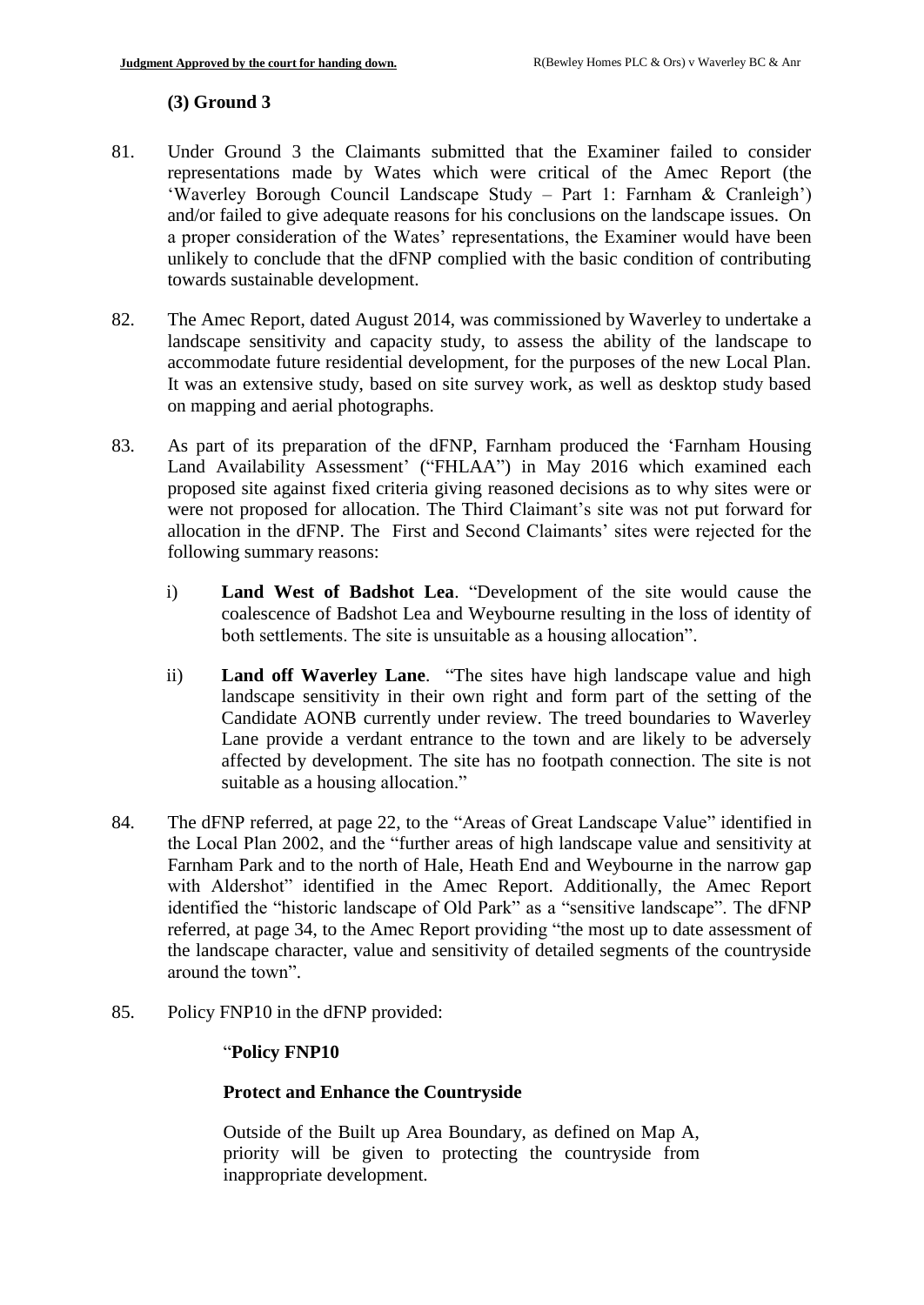## **(3) Ground 3**

- 81. Under Ground 3 the Claimants submitted that the Examiner failed to consider representations made by Wates which were critical of the Amec Report (the 'Waverley Borough Council Landscape Study – Part 1: Farnham & Cranleigh') and/or failed to give adequate reasons for his conclusions on the landscape issues. On a proper consideration of the Wates' representations, the Examiner would have been unlikely to conclude that the dFNP complied with the basic condition of contributing towards sustainable development.
- 82. The Amec Report, dated August 2014, was commissioned by Waverley to undertake a landscape sensitivity and capacity study, to assess the ability of the landscape to accommodate future residential development, for the purposes of the new Local Plan. It was an extensive study, based on site survey work, as well as desktop study based on mapping and aerial photographs.
- 83. As part of its preparation of the dFNP, Farnham produced the 'Farnham Housing Land Availability Assessment' ("FHLAA") in May 2016 which examined each proposed site against fixed criteria giving reasoned decisions as to why sites were or were not proposed for allocation. The Third Claimant's site was not put forward for allocation in the dFNP. The First and Second Claimants' sites were rejected for the following summary reasons:
	- i) **Land West of Badshot Lea**. "Development of the site would cause the coalescence of Badshot Lea and Weybourne resulting in the loss of identity of both settlements. The site is unsuitable as a housing allocation".
	- ii) **Land off Waverley Lane**. "The sites have high landscape value and high landscape sensitivity in their own right and form part of the setting of the Candidate AONB currently under review. The treed boundaries to Waverley Lane provide a verdant entrance to the town and are likely to be adversely affected by development. The site has no footpath connection. The site is not suitable as a housing allocation."
- 84. The dFNP referred, at page 22, to the "Areas of Great Landscape Value" identified in the Local Plan 2002, and the "further areas of high landscape value and sensitivity at Farnham Park and to the north of Hale, Heath End and Weybourne in the narrow gap with Aldershot" identified in the Amec Report. Additionally, the Amec Report identified the "historic landscape of Old Park" as a "sensitive landscape". The dFNP referred, at page 34, to the Amec Report providing "the most up to date assessment of the landscape character, value and sensitivity of detailed segments of the countryside around the town".
- 85. Policy FNP10 in the dFNP provided:

## "**Policy FNP10**

## **Protect and Enhance the Countryside**

Outside of the Built up Area Boundary, as defined on Map A, priority will be given to protecting the countryside from inappropriate development.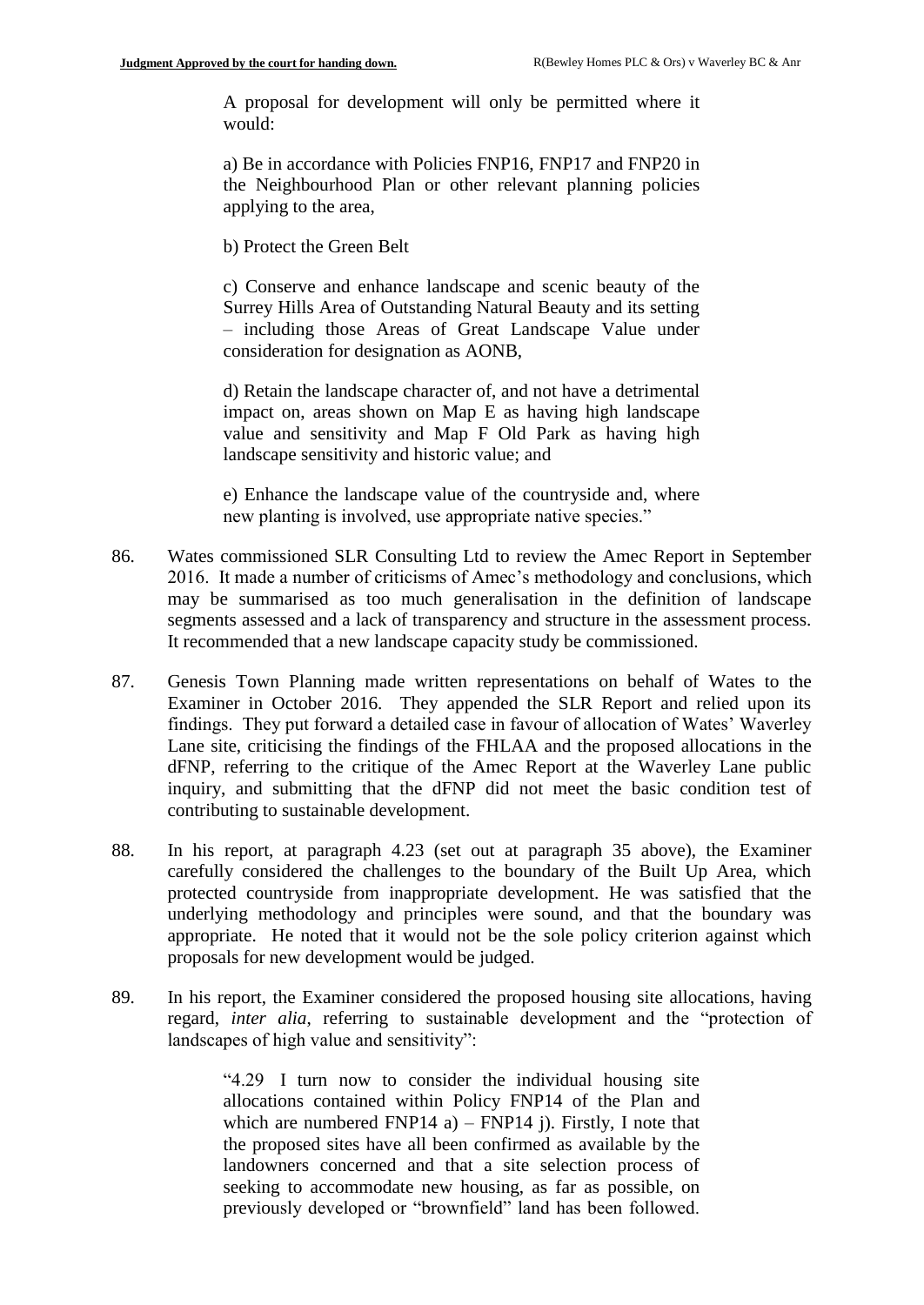A proposal for development will only be permitted where it would:

a) Be in accordance with Policies FNP16, FNP17 and FNP20 in the Neighbourhood Plan or other relevant planning policies applying to the area,

b) Protect the Green Belt

c) Conserve and enhance landscape and scenic beauty of the Surrey Hills Area of Outstanding Natural Beauty and its setting – including those Areas of Great Landscape Value under consideration for designation as AONB,

d) Retain the landscape character of, and not have a detrimental impact on, areas shown on Map E as having high landscape value and sensitivity and Map F Old Park as having high landscape sensitivity and historic value; and

e) Enhance the landscape value of the countryside and, where new planting is involved, use appropriate native species."

- 86. Wates commissioned SLR Consulting Ltd to review the Amec Report in September 2016. It made a number of criticisms of Amec's methodology and conclusions, which may be summarised as too much generalisation in the definition of landscape segments assessed and a lack of transparency and structure in the assessment process. It recommended that a new landscape capacity study be commissioned.
- 87. Genesis Town Planning made written representations on behalf of Wates to the Examiner in October 2016. They appended the SLR Report and relied upon its findings. They put forward a detailed case in favour of allocation of Wates' Waverley Lane site, criticising the findings of the FHLAA and the proposed allocations in the dFNP, referring to the critique of the Amec Report at the Waverley Lane public inquiry, and submitting that the dFNP did not meet the basic condition test of contributing to sustainable development.
- 88. In his report, at paragraph 4.23 (set out at paragraph 35 above), the Examiner carefully considered the challenges to the boundary of the Built Up Area, which protected countryside from inappropriate development. He was satisfied that the underlying methodology and principles were sound, and that the boundary was appropriate. He noted that it would not be the sole policy criterion against which proposals for new development would be judged.
- 89. In his report, the Examiner considered the proposed housing site allocations, having regard, *inter alia*, referring to sustainable development and the "protection of landscapes of high value and sensitivity":

"4.29 I turn now to consider the individual housing site allocations contained within Policy FNP14 of the Plan and which are numbered FNP14 a) – FNP14 j). Firstly, I note that the proposed sites have all been confirmed as available by the landowners concerned and that a site selection process of seeking to accommodate new housing, as far as possible, on previously developed or "brownfield" land has been followed.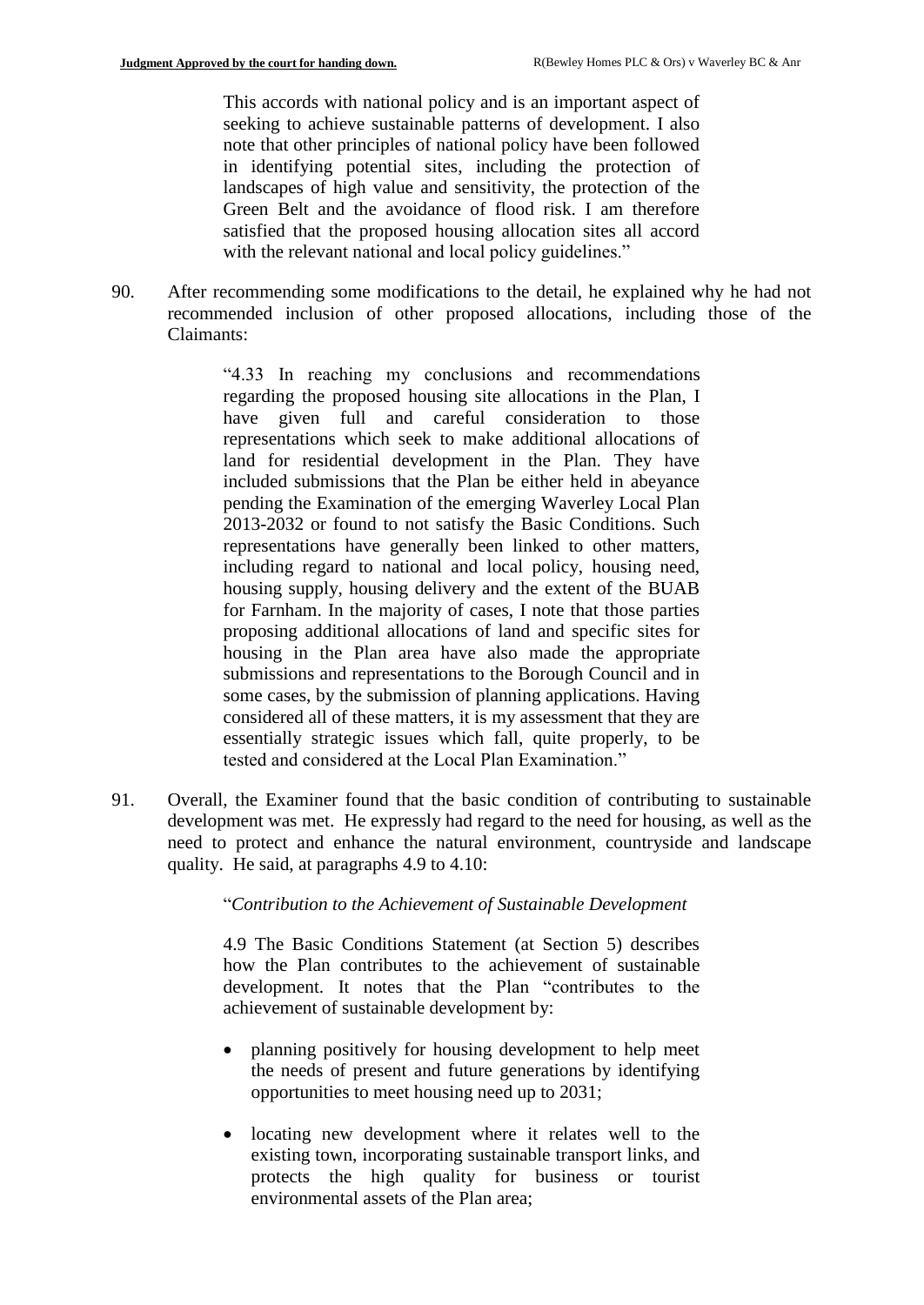This accords with national policy and is an important aspect of seeking to achieve sustainable patterns of development. I also note that other principles of national policy have been followed in identifying potential sites, including the protection of landscapes of high value and sensitivity, the protection of the Green Belt and the avoidance of flood risk. I am therefore satisfied that the proposed housing allocation sites all accord with the relevant national and local policy guidelines."

90. After recommending some modifications to the detail, he explained why he had not recommended inclusion of other proposed allocations, including those of the Claimants:

> "4.33 In reaching my conclusions and recommendations regarding the proposed housing site allocations in the Plan, I have given full and careful consideration to those representations which seek to make additional allocations of land for residential development in the Plan. They have included submissions that the Plan be either held in abeyance pending the Examination of the emerging Waverley Local Plan 2013-2032 or found to not satisfy the Basic Conditions. Such representations have generally been linked to other matters, including regard to national and local policy, housing need, housing supply, housing delivery and the extent of the BUAB for Farnham. In the majority of cases, I note that those parties proposing additional allocations of land and specific sites for housing in the Plan area have also made the appropriate submissions and representations to the Borough Council and in some cases, by the submission of planning applications. Having considered all of these matters, it is my assessment that they are essentially strategic issues which fall, quite properly, to be tested and considered at the Local Plan Examination."

91. Overall, the Examiner found that the basic condition of contributing to sustainable development was met. He expressly had regard to the need for housing, as well as the need to protect and enhance the natural environment, countryside and landscape quality. He said, at paragraphs 4.9 to 4.10:

"*Contribution to the Achievement of Sustainable Development*

4.9 The Basic Conditions Statement (at Section 5) describes how the Plan contributes to the achievement of sustainable development. It notes that the Plan "contributes to the achievement of sustainable development by:

- planning positively for housing development to help meet the needs of present and future generations by identifying opportunities to meet housing need up to 2031;
- locating new development where it relates well to the existing town, incorporating sustainable transport links, and protects the high quality for business or tourist environmental assets of the Plan area;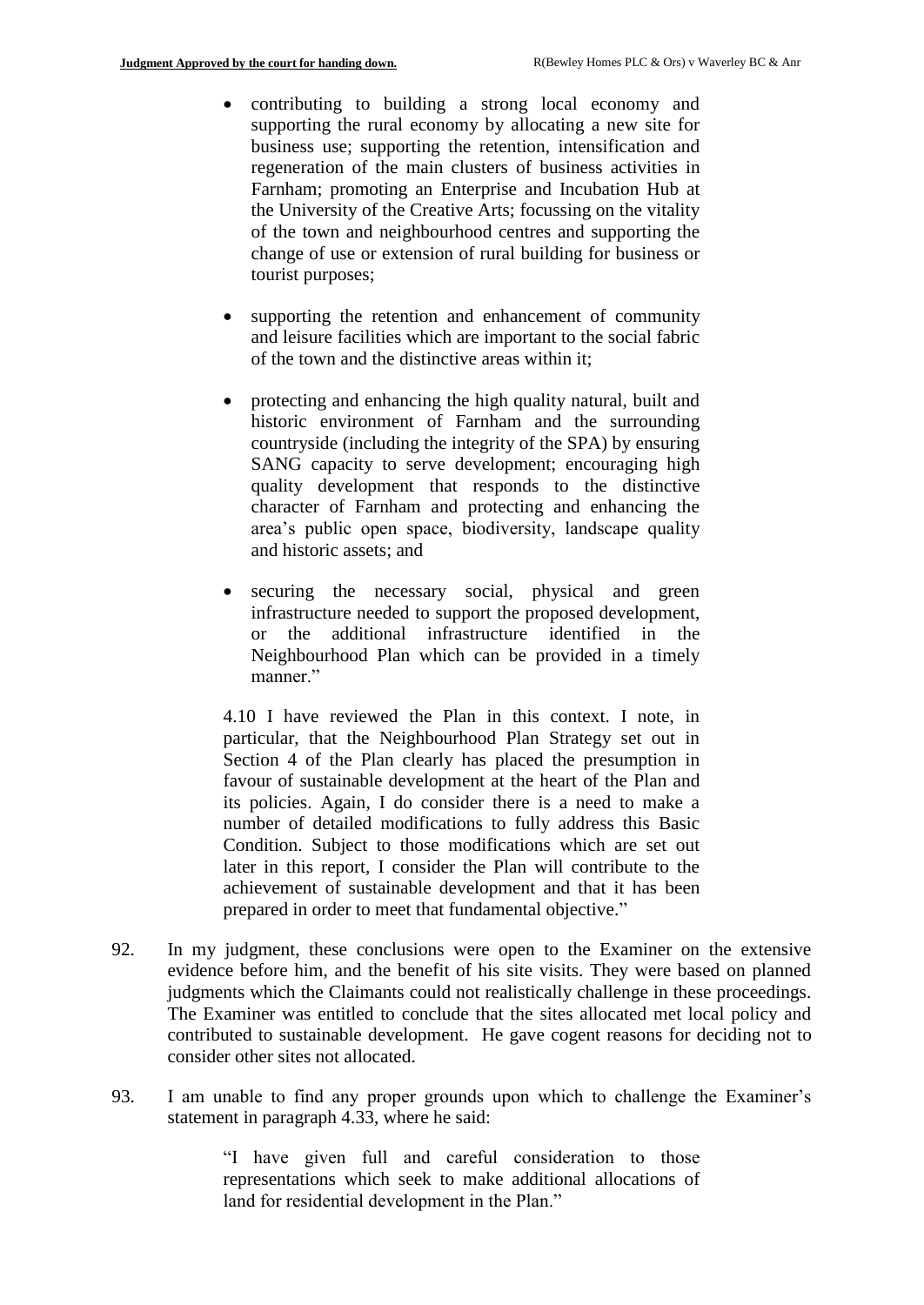- contributing to building a strong local economy and supporting the rural economy by allocating a new site for business use; supporting the retention, intensification and regeneration of the main clusters of business activities in Farnham; promoting an Enterprise and Incubation Hub at the University of the Creative Arts; focussing on the vitality of the town and neighbourhood centres and supporting the change of use or extension of rural building for business or tourist purposes;
- supporting the retention and enhancement of community and leisure facilities which are important to the social fabric of the town and the distinctive areas within it;
- protecting and enhancing the high quality natural, built and historic environment of Farnham and the surrounding countryside (including the integrity of the SPA) by ensuring SANG capacity to serve development; encouraging high quality development that responds to the distinctive character of Farnham and protecting and enhancing the area's public open space, biodiversity, landscape quality and historic assets; and
- securing the necessary social, physical and green infrastructure needed to support the proposed development, or the additional infrastructure identified in the Neighbourhood Plan which can be provided in a timely manner."

4.10 I have reviewed the Plan in this context. I note, in particular, that the Neighbourhood Plan Strategy set out in Section 4 of the Plan clearly has placed the presumption in favour of sustainable development at the heart of the Plan and its policies. Again, I do consider there is a need to make a number of detailed modifications to fully address this Basic Condition. Subject to those modifications which are set out later in this report, I consider the Plan will contribute to the achievement of sustainable development and that it has been prepared in order to meet that fundamental objective."

- 92. In my judgment, these conclusions were open to the Examiner on the extensive evidence before him, and the benefit of his site visits. They were based on planned judgments which the Claimants could not realistically challenge in these proceedings. The Examiner was entitled to conclude that the sites allocated met local policy and contributed to sustainable development. He gave cogent reasons for deciding not to consider other sites not allocated.
- 93. I am unable to find any proper grounds upon which to challenge the Examiner's statement in paragraph 4.33, where he said:

"I have given full and careful consideration to those representations which seek to make additional allocations of land for residential development in the Plan."